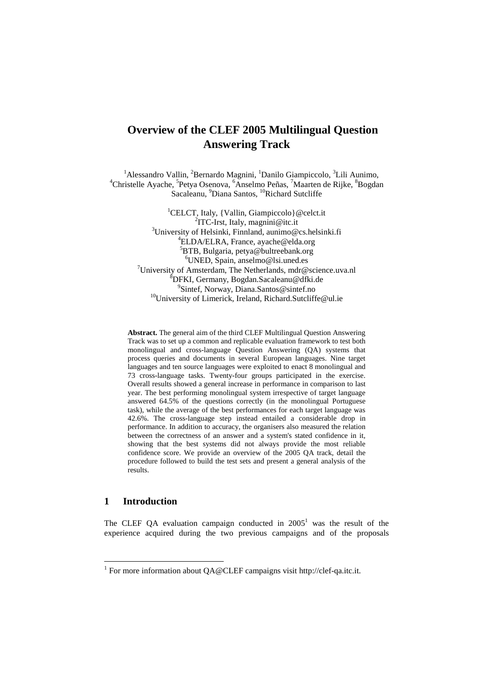# **Overview of the CLEF 2005 Multilingual Question Answering Track**

<sup>1</sup> Alessandro Vallin, <sup>2</sup>Bernardo Magnini, <sup>1</sup>Danilo Giampiccolo, <sup>3</sup>Lili Aunimo, <sup>4</sup>Christelle Ayache, <sup>5</sup>Petya Osenova, <sup>6</sup>Anselmo Peñas, <sup>7</sup>Maarten de Rijke, <sup>8</sup>Bogdan Sacaleanu, <sup>9</sup>Diana Santos, <sup>10</sup>Richard Sutcliffe

<sup>1</sup>CELCT, Italy, {Vallin, Giampiccolo}@celct.it <sup>2</sup>ITC-Irst, Italy, magnini@itc.it <sup>3</sup>University of Helsinki, Finnland, aunimo@cs.helsinki.fi <sup>4</sup>ELDA/ELRA, France, ayache@elda.org <sup>5</sup>BTB, Bulgaria, petya@bultreebank.org <sup>6</sup>UNED, Spain, anselmo@lsi.uned.es <sup>7</sup>University of Amsterdam, The Netherlands, mdr@science.uva.nl <sup>8</sup>DFKI, Germany, Bogdan.Sacaleanu@dfki.de 9 Sintef, Norway, Diana.Santos@sintef.no <sup>10</sup>University of Limerick, Ireland, Richard.Sutcliffe@ul.ie

**Abstract.** The general aim of the third CLEF Multilingual Question Answering Track was to set up a common and replicable evaluation framework to test both monolingual and cross-language Question Answering (QA) systems that process queries and documents in several European languages. Nine target languages and ten source languages were exploited to enact 8 monolingual and 73 cross-language tasks. Twenty-four groups participated in the exercise. Overall results showed a general increase in performance in comparison to last year. The best performing monolingual system irrespective of target language answered 64.5% of the questions correctly (in the monolingual Portuguese task), while the average of the best performances for each target language was 42.6%. The cross-language step instead entailed a considerable drop in performance. In addition to accuracy, the organisers also measured the relation between the correctness of an answer and a system's stated confidence in it, showing that the best systems did not always provide the most reliable confidence score. We provide an overview of the 2005 QA track, detail the procedure followed to build the test sets and present a general analysis of the results.

## **1 Introduction**

 $\overline{a}$ 

The CLEF QA evaluation campaign conducted in  $2005<sup>1</sup>$  was the result of the experience acquired during the two previous campaigns and of the proposals

<sup>&</sup>lt;sup>1</sup> For more information about QA@CLEF campaigns visit http://clef-qa.itc.it.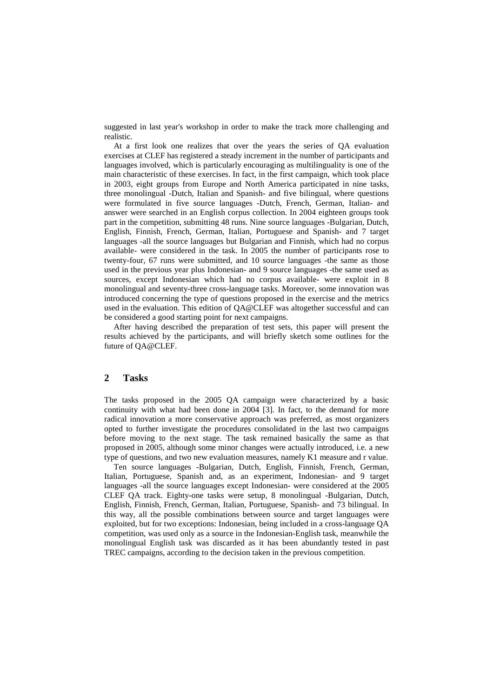suggested in last year's workshop in order to make the track more challenging and realistic.

At a first look one realizes that over the years the series of QA evaluation exercises at CLEF has registered a steady increment in the number of participants and languages involved, which is particularly encouraging as multilinguality is one of the main characteristic of these exercises. In fact, in the first campaign, which took place in 2003, eight groups from Europe and North America participated in nine tasks, three monolingual -Dutch, Italian and Spanish- and five bilingual, where questions were formulated in five source languages -Dutch, French, German, Italian- and answer were searched in an English corpus collection. In 2004 eighteen groups took part in the competition, submitting 48 runs. Nine source languages -Bulgarian, Dutch, English, Finnish, French, German, Italian, Portuguese and Spanish- and 7 target languages -all the source languages but Bulgarian and Finnish, which had no corpus available- were considered in the task. In 2005 the number of participants rose to twenty-four, 67 runs were submitted, and 10 source languages -the same as those used in the previous year plus Indonesian- and 9 source languages -the same used as sources, except Indonesian which had no corpus available- were exploit in 8 monolingual and seventy-three cross-language tasks. Moreover, some innovation was introduced concerning the type of questions proposed in the exercise and the metrics used in the evaluation. This edition of QA@CLEF was altogether successful and can be considered a good starting point for next campaigns.

After having described the preparation of test sets, this paper will present the results achieved by the participants, and will briefly sketch some outlines for the future of QA@CLEF.

# **2 Tasks**

The tasks proposed in the 2005 QA campaign were characterized by a basic continuity with what had been done in 2004 [3]. In fact, to the demand for more radical innovation a more conservative approach was preferred, as most organizers opted to further investigate the procedures consolidated in the last two campaigns before moving to the next stage. The task remained basically the same as that proposed in 2005, although some minor changes were actually introduced, i.e. a new type of questions, and two new evaluation measures, namely K1 measure and r value.

Ten source languages -Bulgarian, Dutch, English, Finnish, French, German, Italian, Portuguese, Spanish and, as an experiment, Indonesian- and 9 target languages -all the source languages except Indonesian- were considered at the 2005 CLEF QA track. Eighty-one tasks were setup, 8 monolingual -Bulgarian, Dutch, English, Finnish, French, German, Italian, Portuguese, Spanish- and 73 bilingual. In this way, all the possible combinations between source and target languages were exploited, but for two exceptions: Indonesian, being included in a cross-language QA competition, was used only as a source in the Indonesian-English task, meanwhile the monolingual English task was discarded as it has been abundantly tested in past TREC campaigns, according to the decision taken in the previous competition.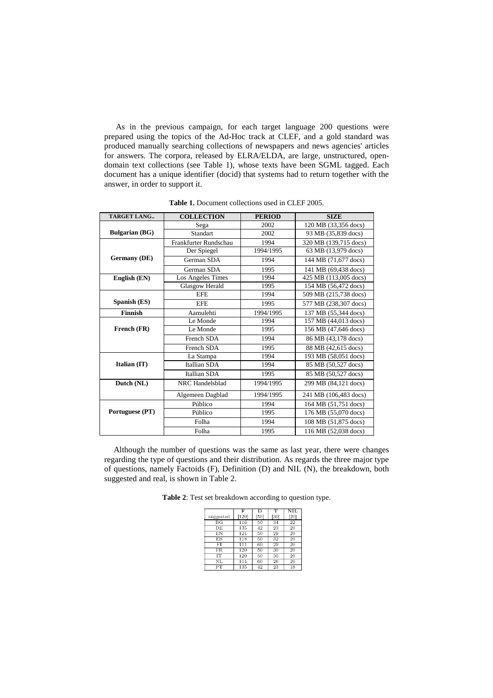As in the previous campaign, for each target language 200 questions were prepared using the topics of the Ad-Hoc track at CLEF, and a gold standard was produced manually searching collections of newspapers and news agencies' articles for answers. The corpora, released by ELRA/ELDA, are large, unstructured, opendomain text collections (see Table 1), whose texts have been SGML tagged. Each document has a unique identifier (docid) that systems had to return together with the answer, in order to support it.

| <b>TARGET LANG</b>    | <b>COLLECTION</b>     | <b>PERIOD</b> | <b>SIZE</b>           |
|-----------------------|-----------------------|---------------|-----------------------|
|                       | Sega                  | 2002          | 120 MB (33,356 docs)  |
| <b>Bulgarian (BG)</b> | <b>Standart</b>       | 2002          | 93 MB (35,839 docs)   |
|                       | Frankfurter Rundschau | 1994          | 320 MB (139,715 docs) |
|                       | Der Spiegel           | 1994/1995     | 63 MB (13,979 docs)   |
| Germany (DE)          | German SDA            | 1994          | 144 MB (71,677 docs)  |
|                       | German SDA            | 1995          | 141 MB (69,438 docs)  |
| English (EN)          | Los Angeles Times     | 1994          | 425 MB (113,005 docs) |
|                       | <b>Glasgow Herald</b> | 1995          | 154 MB (56,472 docs)  |
|                       | <b>EFE</b>            | 1994          | 509 MB (215,738 docs) |
| Spanish (ES)          | <b>EFE</b>            | 1995          | 577 MB (238,307 docs) |
| Finnish               | Aamulehti             | 1994/1995     | 137 MB (55,344 docs)  |
|                       | Le Monde              | 1994          | 157 MB (44,013 docs)  |
| French (FR)           | Le Monde              | 1995          | 156 MB (47,646 docs)  |
|                       | French SDA            | 1994          | 86 MB (43,178 docs)   |
|                       | French SDA            | 1995          | 88 MB (42,615 docs)   |
|                       | La Stampa             | 1994          | 193 MB (58,051 docs)  |
| Italian (IT)          | <b>Itallian SDA</b>   | 1994          | 85 MB (50,527 docs)   |
|                       | <b>Itallian SDA</b>   | 1995          | 85 MB (50,527 docs)   |
| Dutch (NL)            | NRC Handelsblad       | 1994/1995     | 299 MB (84,121 docs)  |
|                       | Algemeen Dagblad      | 1994/1995     | 241 MB (106,483 docs) |
|                       | Público               | 1994          | 164 MB (51,751 docs)  |
| Portuguese (PT)       | Público               | 1995          | 176 MB (55,070 docs)  |
|                       | Folha                 | 1994          | 108 MB (51,875 docs)  |
|                       | Folha                 | 1995          | 116 MB (52,038 docs)  |

**Table 1.** Document collections used in CLEF 2005.

Although the number of questions was the same as last year, there were changes regarding the type of questions and their distribution. As regards the three major type of questions, namely Factoids (F), Definition (D) and NIL (N), the breakdown, both suggested and real, is shown in Table 2.

**Table 2**: Test set breakdown according to question type.

|             | F              | D    | т    | NTL |
|-------------|----------------|------|------|-----|
| suggested   | <sup>120</sup> | [50] | [30] | 20  |
| ΒG          | 116            | 50   | 34   | 22  |
| DЕ          | 135            | 42   | 23   | 20  |
| ΕN          | 121            | 50   | 29   | 20  |
| $_{ES}$     | 118            | 50   | 32   | 20  |
| FI          | 111            | 60   | 29   | 20  |
| $_{\rm FR}$ | 120            | 50   | 30   | 20  |
| IΤ          | 120            | 50   | 30   | 20  |
| NL          | 114            | 60   | 26   | 20  |
|             | 135            | 42   | 23   | 18  |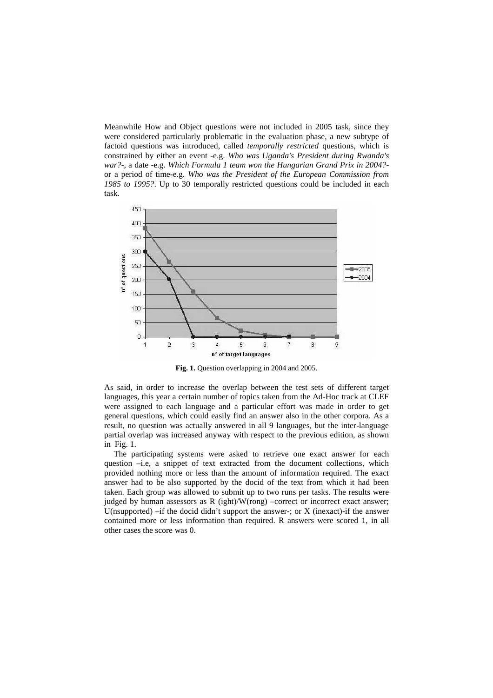Meanwhile How and Object questions were not included in 2005 task, since they were considered particularly problematic in the evaluation phase, a new subtype of factoid questions was introduced, called *temporally restricted* questions, which is constrained by either an event -e.g. *Who was Uganda's President during Rwanda's war?*-, a date -e.g. *Which Formula 1 team won the Hungarian Grand Prix in 2004?* or a period of time-e.g. *Who was the President of the European Commission from 1985 to 1995?*. Up to 30 temporally restricted questions could be included in each task.



Fig. 1. Question overlapping in 2004 and 2005.

As said, in order to increase the overlap between the test sets of different target languages, this year a certain number of topics taken from the Ad-Hoc track at CLEF were assigned to each language and a particular effort was made in order to get general questions, which could easily find an answer also in the other corpora. As a result, no question was actually answered in all 9 languages, but the inter-language partial overlap was increased anyway with respect to the previous edition, as shown in Fig. 1.

The participating systems were asked to retrieve one exact answer for each question –i.e, a snippet of text extracted from the document collections, which provided nothing more or less than the amount of information required. The exact answer had to be also supported by the docid of the text from which it had been taken. Each group was allowed to submit up to two runs per tasks. The results were judged by human assessors as R (ight)/W(rong) –correct or incorrect exact answer; U(nsupported) –if the docid didn't support the answer-; or X (inexact)-if the answer contained more or less information than required. R answers were scored 1, in all other cases the score was 0.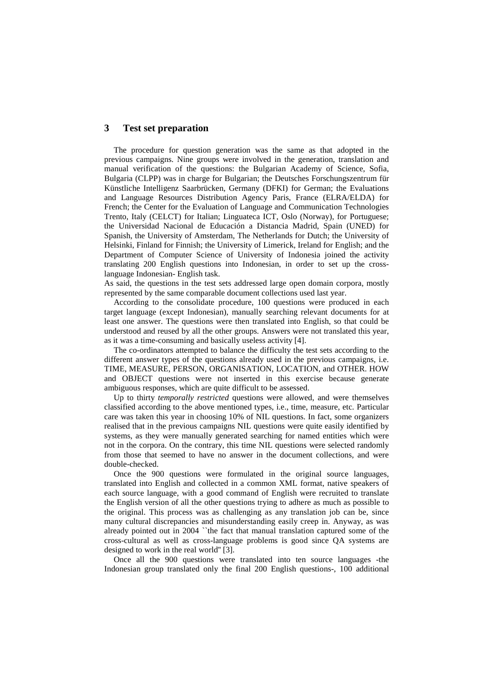### **3 Test set preparation**

The procedure for question generation was the same as that adopted in the previous campaigns. Nine groups were involved in the generation, translation and manual verification of the questions: the Bulgarian Academy of Science, Sofia, Bulgaria (CLPP) was in charge for Bulgarian; the Deutsches Forschungszentrum für Künstliche Intelligenz Saarbrücken, Germany (DFKI) for German; the Evaluations and Language Resources Distribution Agency Paris, France (ELRA/ELDA) for French; the Center for the Evaluation of Language and Communication Technologies Trento, Italy (CELCT) for Italian; Linguateca ICT, Oslo (Norway), for Portuguese; the Universidad Nacional de Educación a Distancia Madrid, Spain (UNED) for Spanish, the University of Amsterdam, The Netherlands for Dutch; the University of Helsinki, Finland for Finnish; the University of Limerick, Ireland for English; and the Department of Computer Science of University of Indonesia joined the activity translating 200 English questions into Indonesian, in order to set up the crosslanguage Indonesian- English task.

As said, the questions in the test sets addressed large open domain corpora, mostly represented by the same comparable document collections used last year.

According to the consolidate procedure, 100 questions were produced in each target language (except Indonesian), manually searching relevant documents for at least one answer. The questions were then translated into English, so that could be understood and reused by all the other groups. Answers were not translated this year, as it was a time-consuming and basically useless activity [4].

The co-ordinators attempted to balance the difficulty the test sets according to the different answer types of the questions already used in the previous campaigns, i.e. TIME, MEASURE, PERSON, ORGANISATION, LOCATION, and OTHER. HOW and OBJECT questions were not inserted in this exercise because generate ambiguous responses, which are quite difficult to be assessed.

Up to thirty *temporally restricted* questions were allowed, and were themselves classified according to the above mentioned types, i.e., time, measure, etc. Particular care was taken this year in choosing 10% of NIL questions. In fact, some organizers realised that in the previous campaigns NIL questions were quite easily identified by systems, as they were manually generated searching for named entities which were not in the corpora. On the contrary, this time NIL questions were selected randomly from those that seemed to have no answer in the document collections, and were double-checked.

Once the 900 questions were formulated in the original source languages, translated into English and collected in a common XML format, native speakers of each source language, with a good command of English were recruited to translate the English version of all the other questions trying to adhere as much as possible to the original. This process was as challenging as any translation job can be, since many cultural discrepancies and misunderstanding easily creep in. Anyway, as was already pointed out in 2004 ``the fact that manual translation captured some of the cross-cultural as well as cross-language problems is good since QA systems are designed to work in the real world'' [3].

Once all the 900 questions were translated into ten source languages -the Indonesian group translated only the final 200 English questions-, 100 additional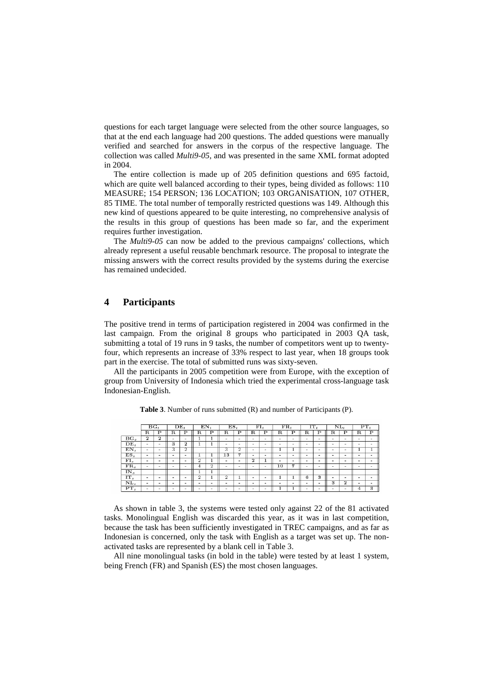questions for each target language were selected from the other source languages, so that at the end each language had 200 questions. The added questions were manually verified and searched for answers in the corpus of the respective language. The collection was called *Multi9-05*, and was presented in the same XML format adopted in 2004.

The entire collection is made up of 205 definition questions and 695 factoid, which are quite well balanced according to their types, being divided as follows: 110 MEASURE; 154 PERSON; 136 LOCATION; 103 ORGANISATION, 107 OTHER, 85 TIME. The total number of temporally restricted questions was 149. Although this new kind of questions appeared to be quite interesting, no comprehensive analysis of the results in this group of questions has been made so far, and the experiment requires further investigation.

The *Multi9-05* can now be added to the previous campaigns' collections, which already represent a useful reusable benchmark resource. The proposal to integrate the missing answers with the correct results provided by the systems during the exercise has remained undecided.

### **4 Participants**

The positive trend in terms of participation registered in 2004 was confirmed in the last campaign. From the original 8 groups who participated in 2003 QA task, submitting a total of 19 runs in 9 tasks, the number of competitors went up to twentyfour, which represents an increase of 33% respect to last year, when 18 groups took part in the exercise. The total of submitted runs was sixty-seven.

All the participants in 2005 competition were from Europe, with the exception of group from University of Indonesia which tried the experimental cross-language task Indonesian-English.

|                            |                          | $BG_t$                   |                          | $DE_t$       |                | $EN_t$                   | $ES_t$                   |                          |                          | $FI_t$                   | FR <sub>t</sub>          |                          |                          | $IT_t$                   |                          | $NL_t$                   |                          | $\mathbf{PT}_t$          |
|----------------------------|--------------------------|--------------------------|--------------------------|--------------|----------------|--------------------------|--------------------------|--------------------------|--------------------------|--------------------------|--------------------------|--------------------------|--------------------------|--------------------------|--------------------------|--------------------------|--------------------------|--------------------------|
|                            | $_{\rm R}$               | P                        | $_{\rm R}$               | Р            | $_{\rm R}$     | Ρ                        | $\mathbf R$              | Р                        | $_{\rm R}$               | Р                        | $_{\rm R}$               | Р                        | $\mathbf R$              | Р                        | $_{\rm R}$               | P                        | $\mathbf R$              | $\overline{\mathbf{P}}$  |
| BG.                        | $\overline{\mathbf{2}}$  | $\bf{2}$                 | ۰                        | ۰            |                |                          | $\sim$                   | ۰                        | $\overline{\phantom{a}}$ | $\sim$                   |                          | -                        | $\overline{\phantom{a}}$ | $\overline{\phantom{a}}$ | ۰                        |                          | $\overline{\phantom{a}}$ | $\overline{\phantom{a}}$ |
| DE <sub>a</sub>            | $\overline{\phantom{a}}$ | $\overline{\phantom{a}}$ | 3                        | $\bf{2}$     |                |                          | $\overline{\phantom{a}}$ | $\overline{\phantom{a}}$ | $\overline{\phantom{a}}$ | $\overline{\phantom{a}}$ | $\overline{a}$           | $\overline{\phantom{a}}$ | ۰                        | $\overline{\phantom{a}}$ |                          | ۰                        | $\overline{\phantom{a}}$ | $\overline{\phantom{a}}$ |
| $EN_s$                     | $\overline{\phantom{a}}$ | $\overline{\phantom{a}}$ | з                        | $\mathbf{2}$ |                |                          | 3                        | $\overline{2}$           | ٠                        | ٠                        |                          |                          | -                        | ٠                        | -                        | -                        |                          |                          |
| ES <sub>s</sub>            | $\overline{\phantom{a}}$ | $\overline{\phantom{a}}$ | $\overline{\phantom{0}}$ | -            |                |                          | 13                       | $\overline{\tau}$        | $\overline{\phantom{0}}$ | $\overline{\phantom{a}}$ | $\overline{\phantom{a}}$ | -                        | $\overline{\phantom{0}}$ | $\overline{\phantom{0}}$ | $\overline{\phantom{0}}$ | $\overline{\phantom{a}}$ | $\overline{\phantom{a}}$ | $\overline{\phantom{0}}$ |
| FI <sub>s</sub>            |                          | $\sim$                   |                          |              | ភ<br>⋍         |                          | $\sim$                   |                          | $\overline{\bf 2}$       |                          | $\sim$                   |                          | ۰                        | $\overline{\phantom{a}}$ |                          |                          | $\sim$                   |                          |
| FR <sub>s</sub>            | $\overline{\phantom{a}}$ | $\overline{\phantom{a}}$ | $\overline{\phantom{a}}$ | -            | 4              | $\overline{2}$           | $\overline{\phantom{a}}$ | -                        | ٠                        | ۰                        | 10                       | ᡔ                        | ۰                        | $\overline{\phantom{a}}$ |                          | ۰                        | $\overline{\phantom{a}}$ | $\overline{\phantom{a}}$ |
| $IN_s$                     |                          |                          |                          |              |                |                          |                          |                          |                          |                          |                          |                          |                          |                          |                          |                          |                          |                          |
| $IT_s$                     | $\overline{\phantom{a}}$ | $\overline{\phantom{a}}$ | $\overline{\phantom{a}}$ | -            | $\overline{2}$ |                          | $\overline{2}$           |                          | $\overline{\phantom{a}}$ | $\overline{\phantom{a}}$ | щ                        |                          | 6                        | 3                        | $\overline{\phantom{0}}$ | $\overline{\phantom{0}}$ | $\overline{\phantom{a}}$ | $\overline{\phantom{a}}$ |
| $\overline{\mathrm{NL}_s}$ | ۰.                       | $\mathbf{r}$             |                          | ۰            | $\sim$         | $\sim$                   | $\sim$                   |                          | ۰                        | $\sim$                   | $\overline{\phantom{a}}$ | ۰.                       | ۰                        | $\sim$                   | з                        | $\bf{2}$                 |                          | $\sim$                   |
| $PT_s$                     | -                        |                          | -                        | -            | ۰              | $\overline{\phantom{a}}$ | $\overline{\phantom{a}}$ | ۰                        | -                        | ۰                        |                          |                          | ۰                        | ۰                        | -                        | -                        | 4                        | 3                        |

**Table 3**. Number of runs submitted (R) and number of Participants (P).

As shown in table 3, the systems were tested only against 22 of the 81 activated tasks. Monolingual English was discarded this year, as it was in last competition, because the task has been sufficiently investigated in TREC campaigns, and as far as Indonesian is concerned, only the task with English as a target was set up. The nonactivated tasks are represented by a blank cell in Table 3.

All nine monolingual tasks (in bold in the table) were tested by at least 1 system, being French (FR) and Spanish (ES) the most chosen languages.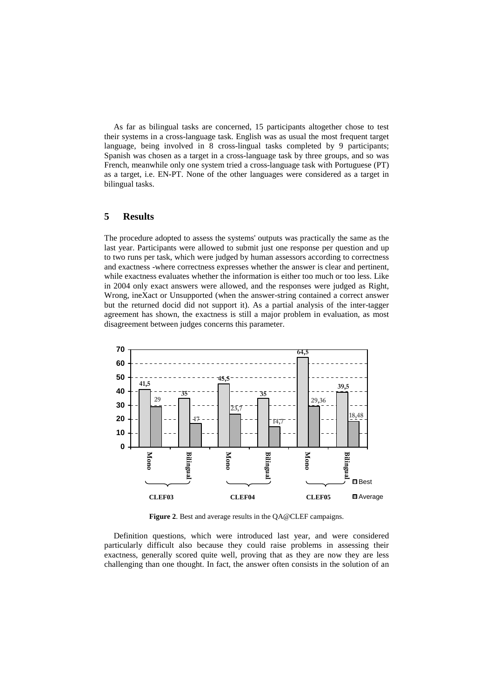As far as bilingual tasks are concerned, 15 participants altogether chose to test their systems in a cross-language task. English was as usual the most frequent target language, being involved in 8 cross-lingual tasks completed by 9 participants; Spanish was chosen as a target in a cross-language task by three groups, and so was French, meanwhile only one system tried a cross-language task with Portuguese (PT) as a target, i.e. EN-PT. None of the other languages were considered as a target in bilingual tasks.

# **5 Results**

The procedure adopted to assess the systems' outputs was practically the same as the last year. Participants were allowed to submit just one response per question and up to two runs per task, which were judged by human assessors according to correctness and exactness -where correctness expresses whether the answer is clear and pertinent, while exactness evaluates whether the information is either too much or too less. Like in 2004 only exact answers were allowed, and the responses were judged as Right, Wrong, ineXact or Unsupported (when the answer-string contained a correct answer but the returned docid did not support it). As a partial analysis of the inter-tagger agreement has shown, the exactness is still a major problem in evaluation, as most disagreement between judges concerns this parameter.



**Figure 2**. Best and average results in the QA@CLEF campaigns.

Definition questions, which were introduced last year, and were considered particularly difficult also because they could raise problems in assessing their exactness, generally scored quite well, proving that as they are now they are less challenging than one thought. In fact, the answer often consists in the solution of an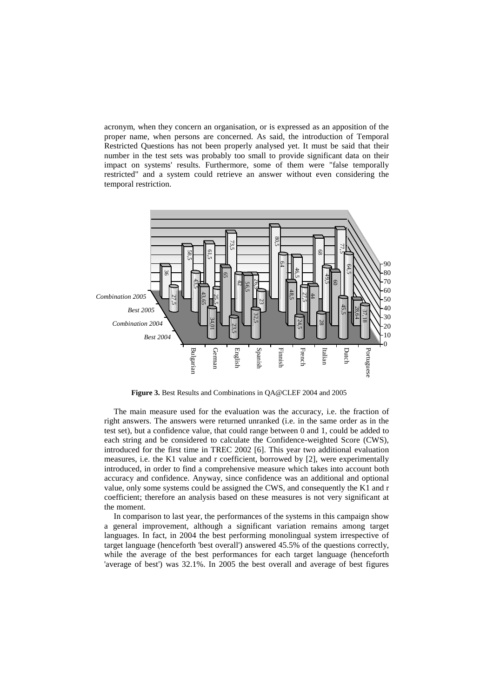acronym, when they concern an organisation, or is expressed as an apposition of the proper name, when persons are concerned. As said, the introduction of Temporal Restricted Questions has not been properly analysed yet. It must be said that their number in the test sets was probably too small to provide significant data on their impact on systems' results. Furthermore, some of them were "false temporally restricted" and a system could retrieve an answer without even considering the temporal restriction.



**Figure 3.** Best Results and Combinations in QA@CLEF 2004 and 2005

The main measure used for the evaluation was the accuracy, i.e. the fraction of right answers. The answers were returned unranked (i.e. in the same order as in the test set), but a confidence value, that could range between 0 and 1, could be added to each string and be considered to calculate the Confidence-weighted Score (CWS), introduced for the first time in TREC 2002 [6]. This year two additional evaluation measures, i.e. the K1 value and r coefficient, borrowed by [2], were experimentally introduced, in order to find a comprehensive measure which takes into account both accuracy and confidence. Anyway, since confidence was an additional and optional value, only some systems could be assigned the CWS, and consequently the K1 and r coefficient; therefore an analysis based on these measures is not very significant at the moment.

In comparison to last year, the performances of the systems in this campaign show a general improvement, although a significant variation remains among target languages. In fact, in 2004 the best performing monolingual system irrespective of target language (henceforth 'best overall') answered 45.5% of the questions correctly, while the average of the best performances for each target language (henceforth 'average of best') was 32.1%. In 2005 the best overall and average of best figures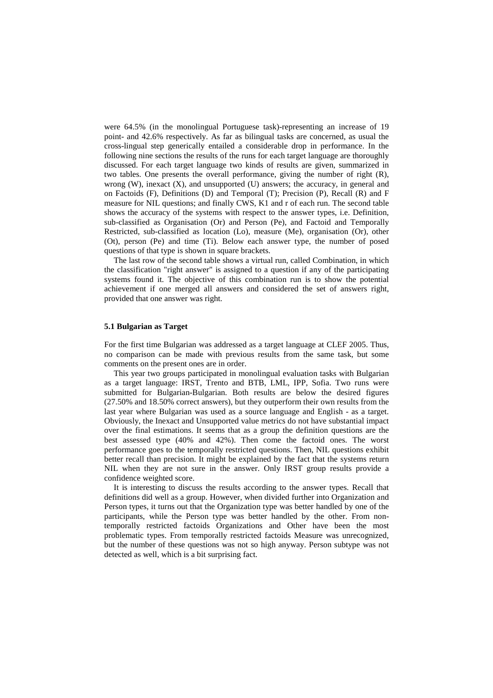were 64.5% (in the monolingual Portuguese task)-representing an increase of 19 point- and 42.6% respectively. As far as bilingual tasks are concerned, as usual the cross-lingual step generically entailed a considerable drop in performance. In the following nine sections the results of the runs for each target language are thoroughly discussed. For each target language two kinds of results are given, summarized in two tables. One presents the overall performance, giving the number of right (R), wrong  $(W)$ , inexact  $(X)$ , and unsupported  $(U)$  answers; the accuracy, in general and on Factoids (F), Definitions (D) and Temporal (T); Precision (P), Recall (R) and F measure for NIL questions; and finally CWS, K1 and r of each run. The second table shows the accuracy of the systems with respect to the answer types, i.e. Definition, sub-classified as Organisation (Or) and Person (Pe), and Factoid and Temporally Restricted, sub-classified as location (Lo), measure (Me), organisation (Or), other (Ot), person (Pe) and time (Ti). Below each answer type, the number of posed questions of that type is shown in square brackets.

The last row of the second table shows a virtual run, called Combination, in which the classification "right answer" is assigned to a question if any of the participating systems found it. The objective of this combination run is to show the potential achievement if one merged all answers and considered the set of answers right, provided that one answer was right.

#### **5.1 Bulgarian as Target**

For the first time Bulgarian was addressed as a target language at CLEF 2005. Thus, no comparison can be made with previous results from the same task, but some comments on the present ones are in order.

This year two groups participated in monolingual evaluation tasks with Bulgarian as a target language: IRST, Trento and BTB, LML, IPP, Sofia. Two runs were submitted for Bulgarian-Bulgarian. Both results are below the desired figures (27.50% and 18.50% correct answers), but they outperform their own results from the last year where Bulgarian was used as a source language and English - as a target. Obviously, the Inexact and Unsupported value metrics do not have substantial impact over the final estimations. It seems that as a group the definition questions are the best assessed type (40% and 42%). Then come the factoid ones. The worst performance goes to the temporally restricted questions. Then, NIL questions exhibit better recall than precision. It might be explained by the fact that the systems return NIL when they are not sure in the answer. Only IRST group results provide a confidence weighted score.

It is interesting to discuss the results according to the answer types. Recall that definitions did well as a group. However, when divided further into Organization and Person types, it turns out that the Organization type was better handled by one of the participants, while the Person type was better handled by the other. From nontemporally restricted factoids Organizations and Other have been the most problematic types. From temporally restricted factoids Measure was unrecognized, but the number of these questions was not so high anyway. Person subtype was not detected as well, which is a bit surprising fact.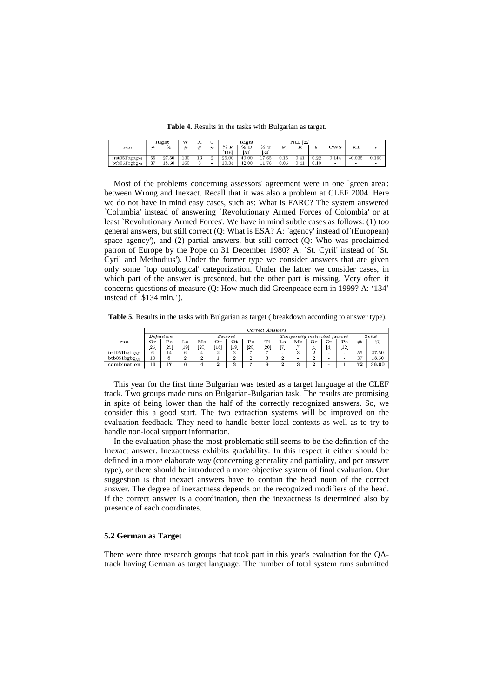**Table 4.** Results in the tasks with Bulgarian as target.

|                               |           | Right | w   | $\mathbf{x}$<br>$\Lambda$ | U     |           | Right     |                |           | 22<br>$_{\rm NIL}$ |         |               |                          |                          |
|-------------------------------|-----------|-------|-----|---------------------------|-------|-----------|-----------|----------------|-----------|--------------------|---------|---------------|--------------------------|--------------------------|
| run                           | #         | %     |     | $\overline{u}$            | #<br> | $\%$<br>F | $\%$<br>D | %<br>$\sim$    |           | ĸ                  | ю<br>л. | $_{\rm{cws}}$ | K1                       | w                        |
|                               |           |       |     |                           |       | 116       | 501       | [34]           |           |                    |         |               |                          |                          |
| irst051bgbgM                  | 55        | 27.50 | 130 | 13                        | ∼     | 25.00     | 40.00     | $\sim$<br>1.65 | $_{0.15}$ | $_{0.41}$          | 0.99    | 0.144         | $-0.035$                 | 0.160                    |
| $b$ t $b$ 051 $b$ g $b$ g $M$ | 95<br>-51 | 18.50 | 160 | $\circ$                   | -     | 10.34     | .00<br>42 | 11.76          | $_{0.05}$ | $_{0.41}$          | 0.10    | -             | $\overline{\phantom{a}}$ | $\overline{\phantom{0}}$ |

Most of the problems concerning assessors' agreement were in one 'green area': between Wrong and Inexact. Recall that it was also a problem at CLEF 2004. Here we do not have in mind easy cases, such as: What is FARC? The system answered `Columbia' instead of answering `Revolutionary Armed Forces of Colombia' or at least `Revolutionary Armed Forces'. We have in mind subtle cases as follows: (1) too general answers, but still correct (Q: What is ESA? A: `agency' instead of (European) space agency'), and (2) partial answers, but still correct (Q: Who was proclaimed patron of Europe by the Pope on 31 December 1980? A: `St. Cyril' instead of `St. Cyril and Methodius'). Under the former type we consider answers that are given only some `top ontological' categorization. Under the latter we consider cases, in which part of the answer is presented, but the other part is missing. Very often it concerns questions of measure (Q: How much did Greenpeace earn in 1999? A: '134' instead of '\$134 mln.').

**Table 5.** Results in the tasks with Bulgarian as target ( breakdown according to answer type).

|                               |    |            |    |      |    |         |              | <i>Correct Answers</i> |      |                               |                |    |      |           |       |
|-------------------------------|----|------------|----|------|----|---------|--------------|------------------------|------|-------------------------------|----------------|----|------|-----------|-------|
|                               |    | Definition |    |      |    | Factoid |              |                        |      | Temporally restricted factoid |                |    |      |           | Total |
| run                           | Or | Рe         | Lo | Мe   | Or | Οt      | Рe           |                        | Lo   | Me                            | Эr             | Οt | Pe   |           | %     |
|                               | 25 | [25]       | 19 | [20] | 18 | [19]    | $20^{\circ}$ | [20]                   | i wa | r.                            | $\overline{4}$ | 4  | [12] |           |       |
| $i$ rst $051$ bgbg $M$        | D  | 14         | o  |      | ÷  |         |              |                        | ۰    |                               |                | -  | ۰    | - -<br>55 | 27.50 |
| $b$ t $b$ 051 $b$ g $b$ g $M$ | 13 |            |    |      |    |         |              |                        |      |                               |                | -  | -    | 37        | 18.50 |
| combination                   | 16 |            |    |      |    | з       |              |                        |      |                               |                |    |      | -4        | 36.00 |

This year for the first time Bulgarian was tested as a target language at the CLEF track. Two groups made runs on Bulgarian-Bulgarian task. The results are promising in spite of being lower than the half of the correctly recognized answers. So, we consider this a good start. The two extraction systems will be improved on the evaluation feedback. They need to handle better local contexts as well as to try to handle non-local support information.

In the evaluation phase the most problematic still seems to be the definition of the Inexact answer. Inexactness exhibits gradability. In this respect it either should be defined in a more elaborate way (concerning generality and partiality, and per answer type), or there should be introduced a more objective system of final evaluation. Our suggestion is that inexact answers have to contain the head noun of the correct answer. The degree of inexactness depends on the recognized modifiers of the head. If the correct answer is a coordination, then the inexactness is determined also by presence of each coordinates.

#### **5.2 German as Target**

There were three research groups that took part in this year's evaluation for the QAtrack having German as target language. The number of total system runs submitted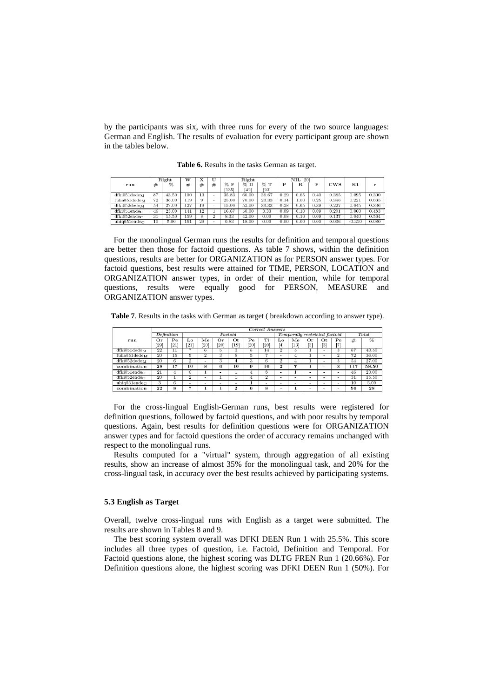by the participants was six, with three runs for every of the two source languages: German and English. The results of evaluation for every participant group are shown in the tables below.

|                          |    | Right | w   |    | U                        |       | Right |       |      | NIL [20]  |      |                 |          |            |
|--------------------------|----|-------|-----|----|--------------------------|-------|-------|-------|------|-----------|------|-----------------|----------|------------|
| run                      | #  | $\%$  | #   | #  | #                        | $%$ F | % D   | %T    | P    | R.        | F    | $_{\text{CWS}}$ | K1       | r          |
|                          |    |       |     |    |                          | 135   | 42    | 23    |      |           |      |                 |          |            |
| dfki051dede <sub>M</sub> | 87 | 43.50 | 100 | 13 | $\overline{\phantom{a}}$ | 35.83 | 66.00 | 36.67 | 0.29 | 0.65      | 0.40 | 0.385           | 0.095    | 0.300      |
| fuha051dedeM             | 72 | 36.00 | 119 |    | ÷                        | 25.00 | 70.00 | 23.33 | 0.14 | .00       | 0.25 | 0.346           | 0.221    | 0.665      |
| dfki052dede <sub>M</sub> | 54 | 27.00 | 127 | 19 | ۰                        | 15.00 | 52.00 | 33.33 | 0.28 | $_{0.65}$ | 0.39 | 0.227           | 0.045    | 0.386      |
| $dfki051$ ende $\sigma$  | 46 | 23.00 | 141 | 12 |                          | 16.67 | 50.00 | 3.33  | 0.09 | $_{0.10}$ | 0.09 | 0.201           | 0.060    | 0.483      |
| $dfki052$ ende $c$       | 31 | 15.50 | 159 |    | ∠                        | 8.33  | 42.00 | 0.00  | 0.08 | $_{0.10}$ | 0.09 | 0.137           | 0.040    | 0.564      |
| $uhia051$ ende $c$       | 10 | 5.00  | 161 | 29 | ۰                        | 0.83  | 18.00 | 0.00  | 0.00 | 0.00      | 0.00 | 0.006           | $-0.310$ | $_{0.080}$ |

**Table 6.** Results in the tasks German as target.

For the monolingual German runs the results for definition and temporal questions are better then those for factoid questions. As table 7 shows, within the definition questions, results are better for ORGANIZATION as for PERSON answer types. For factoid questions, best results were attained for TIME, PERSON, LOCATION and ORGANIZATION answer types, in order of their mention, while for temporal questions, results were equally good for PERSON, MEASURE and ORGANIZATION answer types.

**Table 7**. Results in the tasks with German as target ( breakdown according to answer type).

|                              |     |                   |                |                          |                          |                          |           | <i>Correct Answers</i>   |                          |                               |                          |                          |                          |     |       |
|------------------------------|-----|-------------------|----------------|--------------------------|--------------------------|--------------------------|-----------|--------------------------|--------------------------|-------------------------------|--------------------------|--------------------------|--------------------------|-----|-------|
|                              |     | <b>Definition</b> |                |                          |                          | Factoid                  |           |                          |                          | Temporally restricted factoid |                          |                          |                          |     | Total |
| run                          | Оr  | Рe                | Lo             | Me                       | Or                       | Ot.                      | Рe        | Ti                       | Lo                       | Me                            | Or                       | Ot.                      | Pe                       | #   | %     |
|                              | 29] | [21]              | '21            | [20]                     | [20]                     | $[19]$                   | $^{[20]}$ | [20]                     | 4                        | [13]                          | $[3]$                    | $[3]$                    | $\mathbf{7}$             |     |       |
| $d$ fki051 $de$ de $d$ e $M$ | 22  |                   |                | 6                        | 5.                       | З                        | 8         | 14                       |                          | 5                             |                          | ۰                        | w<br>з                   | 87  | 43.50 |
| fuha051dede <sub>M</sub>     | 20  | 15                |                |                          | $\sim$<br>a.             | 8                        | 5         |                          | $\overline{\phantom{0}}$ |                               |                          | $\overline{\phantom{0}}$ | $\overline{2}$           | 72  | 36.00 |
| $dfki052$ dede $M$           | 20  | 6                 | $\Omega$       | -                        | o<br>a                   | 4                        | 3         | 6                        | $\Omega$                 |                               |                          | ۰                        | 3                        | 54  | 27.00 |
| combination                  | 28  | 17                | 10             | 8                        | 6                        | 10                       | 9         | 16                       | $\overline{2}$           |                               |                          | -                        | 3                        | 117 | 58.50 |
| dfki051endec                 | 21  |                   | 6              |                          | ÷                        |                          |           | 8                        | ۰                        |                               |                          | ٠                        |                          | 46  | 23.00 |
| dfki052endec                 | 20  |                   | o              | -                        |                          |                          | 4         | $\Omega$                 | ۰                        | ٠                             | -                        | ۰                        | ۰                        | 31  | 15.50 |
| $uhiq051$ ende $c$           | 3   | 6                 | $\blacksquare$ | $\overline{\phantom{a}}$ | $\overline{\phantom{a}}$ | $\overline{\phantom{a}}$ |           | $\overline{\phantom{a}}$ | $\overline{\phantom{0}}$ | $\overline{\phantom{0}}$      | $\overline{\phantom{0}}$ | $\overline{\phantom{0}}$ | $\overline{\phantom{a}}$ | 10  | 5.00  |
| combination                  | 22  | 8                 |                |                          |                          | ∸                        | 6         | 8                        |                          |                               | $\sim$                   |                          |                          | 56  | 28    |

For the cross-lingual English-German runs, best results were registered for definition questions, followed by factoid questions, and with poor results by temporal questions. Again, best results for definition questions were for ORGANIZATION answer types and for factoid questions the order of accuracy remains unchanged with respect to the monolingual runs.

Results computed for a "virtual" system, through aggregation of all existing results, show an increase of almost 35% for the monolingual task, and 20% for the cross-lingual task, in accuracy over the best results achieved by participating systems.

#### **5.3 English as Target**

Overall, twelve cross-lingual runs with English as a target were submitted. The results are shown in Tables 8 and 9.

The best scoring system overall was DFKI DEEN Run 1 with 25.5%. This score includes all three types of question, i.e. Factoid, Definition and Temporal. For Factoid questions alone, the highest scoring was DLTG FREN Run 1 (20.66%). For Definition questions alone, the highest scoring was DFKI DEEN Run 1 (50%). For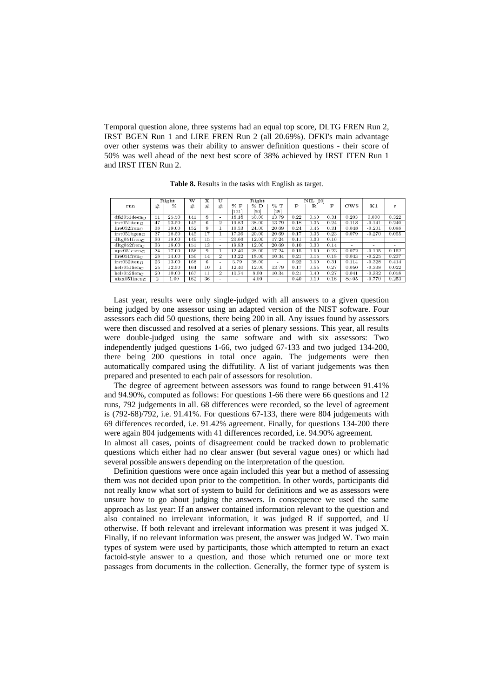Temporal question alone, three systems had an equal top score, DLTG FREN Run 2, IRST BGEN Run 1 and LIRE FREN Run 2 (all 20.69%). DFKI's main advantage over other systems was their ability to answer definition questions - their score of 50% was well ahead of the next best score of 38% achieved by IRST ITEN Run 1 and IRST ITEN Run 2.

|                          |                | Right | w   | X               | U                        |           | Right  |                |      | <b>NIL</b> [20] |      |            |          |        |
|--------------------------|----------------|-------|-----|-----------------|--------------------------|-----------|--------|----------------|------|-----------------|------|------------|----------|--------|
| run                      | #              | $\%$  | #   | #               | #                        | $%$ F     | $\%$ D | $\%$ T         | Р    | R.              | F    | <b>CWS</b> | Κ1       | r      |
|                          |                |       |     |                 |                          | $[1\,21]$ | 50     | [29]           |      |                 |      |            |          |        |
| $dfki051$ deen $C$       | 51             | 25.50 | 141 | 8               | $\overline{\phantom{a}}$ | 18.18     | 50.00  | 13.79          | 0.22 | 0.50            | 0.31 | 0.203      | 0.000    | 0.322  |
| $irst051$ iten $c$       | 47             | 23.50 | 145 | в.              | $\overline{2}$           | 19.83     | 38.00  | 13.79          | 0.18 | 0.35            | 0.24 | 0.118      | $-0.141$ | 0.240  |
| $line 052$ fren $c$      | 38             | 19.00 | 152 | 9               |                          | 16.53     | 24.00  | 20.69          | 0.24 | 0.45            | 0.31 | 0.048      | $-0.201$ | 0.088  |
| irst051bgenc             | 37             | 18.50 | 145 | $\overline{17}$ |                          | 17.36     | 20.00  | 20.69          | 0.17 | 0.35            | 0.23 | 0.079      | $-0.270$ | 0.055  |
| $dltg051$ fren $\alpha$  | 36             | 18.00 | 149 | 15              | $\mathbf{r}$             | 20.66     | 12.00  | 17.24          | 0.11 | 0.30            | 0.16 |            | ۰        |        |
| $dt$ g052fren $c$        | 36             | 18.00 | 151 | 13              | ۰                        | 19.83     | 12.00  | 20.69          | 0.10 | 0.30            | 0.14 |            |          | $\sim$ |
| $upv051$ esen $_{\bf C}$ | 34             | 17.00 | 156 | 9               |                          | 12.40     | 28.00  | 17.24          | 0.15 | 0.50            | 0.23 | 0.072      | $-0.105$ | 0.152  |
| $line 051$ fren $C$      | 28             | 14.00 | 156 | 14              | $\overline{2}$           | 13.22     | 18.00  | 10.34          | 0.21 | 0.15            | 0.18 | 0.043      | $-0.225$ | 0.237  |
| $irst052$ iten $c$       | 26             | 13.00 | 168 | 6.              | $\overline{\phantom{a}}$ | 5.79      | 38.00  | $\overline{a}$ | 0.22 | 0.50            | 0.31 | 0.114      | $-0.328$ | 0.414  |
| $hels051$ fien $c$       | 25             | 12.50 | 164 | $10^{-1}$       |                          | 12.40     | 12.00  | 13.79          | 0.17 | 0.55            | 0.27 | 0.050      | $-0.338$ | 0.022  |
| hels052fienc             | 20             | 10.00 | 167 | 11              | $\overline{2}$           | 10.74     | 8.00   | 10.34          | 0.21 | 0.40            | 0.27 | 0.041      | $-0.332$ | 0.058  |
| $u$ ixx $051$ inen $c$   | $\overline{2}$ | 1.00  | 162 | 36              |                          |           | 4.00   | ۰              | 0.40 | 0.10            | 0.16 | 8e-05      | $-0.770$ | 0.253  |

**Table 8.** Results in the tasks with English as target.

Last year, results were only single-judged with all answers to a given question being judged by one assessor using an adapted version of the NIST software. Four assessors each did 50 questions, there being 200 in all. Any issues found by assessors were then discussed and resolved at a series of plenary sessions. This year, all results were double-judged using the same software and with six assessors: Two independently judged questions 1-66, two judged 67-133 and two judged 134-200, there being 200 questions in total once again. The judgements were then automatically compared using the diffutility. A list of variant judgements was then prepared and presented to each pair of assessors for resolution.

The degree of agreement between assessors was found to range between 91.41% and 94.90%, computed as follows: For questions 1-66 there were 66 questions and 12 runs, 792 judgements in all. 68 differences were recorded, so the level of agreement is (792-68)/792, i.e. 91.41%. For questions 67-133, there were 804 judgements with 69 differences recorded, i.e. 91.42% agreement. Finally, for questions 134-200 there were again 804 judgements with 41 differences recorded, i.e. 94.90% agreement.

In almost all cases, points of disagreement could be tracked down to problematic questions which either had no clear answer (but several vague ones) or which had several possible answers depending on the interpretation of the question.

Definition questions were once again included this year but a method of assessing them was not decided upon prior to the competition. In other words, participants did not really know what sort of system to build for definitions and we as assessors were unsure how to go about judging the answers. In consequence we used the same approach as last year: If an answer contained information relevant to the question and also contained no irrelevant information, it was judged R if supported, and U otherwise. If both relevant and irrelevant information was present it was judged X. Finally, if no relevant information was present, the answer was judged W. Two main types of system were used by participants, those which attempted to return an exact factoid-style answer to a question, and those which returned one or more text passages from documents in the collection. Generally, the former type of system is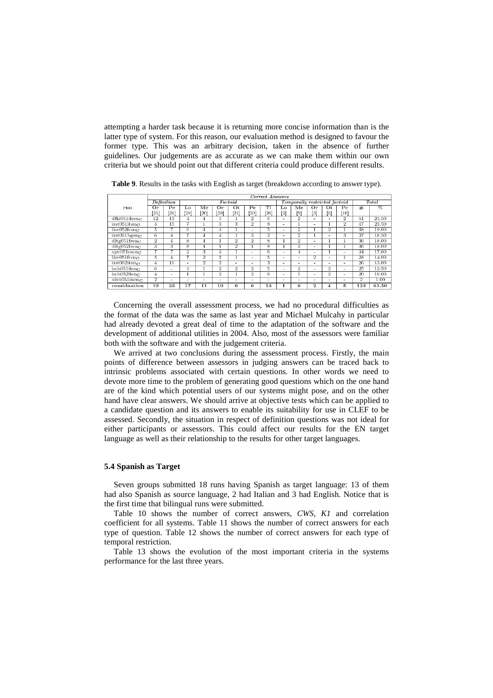attempting a harder task because it is returning more concise information than is the latter type of system. For this reason, our evaluation method is designed to favour the former type. This was an arbitrary decision, taken in the absence of further guidelines. Our judgements are as accurate as we can make them within our own criteria but we should point out that different criteria could produce different results.

|                         |                |                          |    |                |                |                |                | Correct Answers |        |                               |                          |                |                          |                 |       |
|-------------------------|----------------|--------------------------|----|----------------|----------------|----------------|----------------|-----------------|--------|-------------------------------|--------------------------|----------------|--------------------------|-----------------|-------|
|                         |                | <b>Definition</b>        |    |                |                | Factoid        |                |                 |        | Temporally restricted factoid |                          |                |                          |                 | Total |
| run                     | Or             | Pе                       | Lo | Мe             | Or             | Ot.            | Рe             | тī              | Lo     | Me                            | Or                       | Ot.            | Рe                       | #               | $\%$  |
|                         | $[25]$         | 25                       | 20 | [20]           | [20]           | [21]           | 20             | 20              | $[2]$  | $[9]$                         | [3]                      | $[5]$          | [10]                     |                 |       |
| $dfki051$ deen $c$      | 12             | $1\overline{3}$          | 4  |                | Ð.             |                | $\overline{2}$ | 6               | ۰      | $\overline{2}$                | ۰                        | ٠              | $\overline{2}$           | 51              | 25.50 |
| $irst05$ liten $c$      | 4              | 15                       |    |                | 3              | 3              | $\overline{2}$ | 8               | $\sim$ |                               | $\overline{\phantom{0}}$ |                | $\overline{2}$           | 47              | 23.50 |
| $line 052$ fren $c$     | 5              |                          | 6  | 4              | 4              |                | ۰              | 5               |        | $\overline{2}$                |                          | $\overline{2}$ |                          | 38              | 19.00 |
| irst051bgenC            | 6              | 4                        |    | 4              |                |                | 3              | $\overline{2}$  | ۰      | $\overline{2}$                |                          | ٠              | 3                        | 37              | 18.50 |
| $dltg051$ fren $C$      | $\overline{2}$ | $\overline{4}$           | 8  | 4              |                | $\overline{2}$ | $\overline{2}$ | 8               |        | $\mathbf{2}$                  | ٠                        |                |                          | 36              | 18.00 |
| $dltg052$ fren $\alpha$ | 3              | 3                        | 8  | 4              |                | $\overline{2}$ |                | 8               |        | 3                             | ۰                        |                |                          | 36              | 18.00 |
| $upv051$ esen $c$       |                |                          | 2  | 3              | 3              |                | ۰              | 6               | ۰      | 4                             | ۰                        |                | -                        | 34              | 17.00 |
| $line 051$ fren $C$     | 5.             | $\overline{\mathcal{A}}$ |    | $\overline{2}$ |                |                | ۰              | 5               | -      | ۰                             | $\overline{2}$           | ٠              |                          | 28              | 14.00 |
| $irst052$ iten $C$      | 4              | 15                       |    | $\overline{2}$ | $\overline{2}$ | ۰              | ۰              | з               | ×.     | ۰                             | ۰                        | $\sim$         | ۰                        | $\overline{26}$ | 13.00 |
| $hels051$ fien $c$      | 6              | -                        | 3  |                | $\overline{2}$ | $\mathbf{2}$   | $\overline{2}$ | 5               | ۰      | $\overline{2}$                | ۰                        | $\overline{2}$ | $\overline{\phantom{a}}$ | 25              | 12.50 |
| $hels052$ fien $c$      | 4              | -                        |    |                | $\mathfrak{D}$ |                | $\overline{2}$ | 6               | $\sim$ |                               | ۰                        | $\mathfrak{D}$ | ۰                        | 20              | 10.00 |
| $u$ ixx $051$ inen $c$  | $\overline{2}$ | ۰                        |    | ٠              |                | ۰              |                |                 |        |                               | $\overline{\phantom{a}}$ | $\sim$         |                          | 2               | 1.00  |
| combination             | 19             | 23                       | 17 | 11             | 10             | в              | 6              | 13              |        | 6                             | $\overline{2}$           |                | 5                        | 123             | 61.50 |

**Table 9**. Results in the tasks with English as target (breakdown according to answer type).

Concerning the overall assessment process, we had no procedural difficulties as the format of the data was the same as last year and Michael Mulcahy in particular had already devoted a great deal of time to the adaptation of the software and the development of additional utilities in 2004. Also, most of the assessors were familiar both with the software and with the judgement criteria.

We arrived at two conclusions during the assessment process. Firstly, the main points of difference between assessors in judging answers can be traced back to intrinsic problems associated with certain questions. In other words we need to devote more time to the problem of generating good questions which on the one hand are of the kind which potential users of our systems might pose, and on the other hand have clear answers. We should arrive at objective tests which can be applied to a candidate question and its answers to enable its suitability for use in CLEF to be assessed. Secondly, the situation in respect of definition questions was not ideal for either participants or assessors. This could affect our results for the EN target language as well as their relationship to the results for other target languages.

#### **5.4 Spanish as Target**

Seven groups submitted 18 runs having Spanish as target language: 13 of them had also Spanish as source language, 2 had Italian and 3 had English. Notice that is the first time that bilingual runs were submitted.

Table 10 shows the number of correct answers, *CWS*, *K1* and correlation coefficient for all systems. Table 11 shows the number of correct answers for each type of question. Table 12 shows the number of correct answers for each type of temporal restriction.

Table 13 shows the evolution of the most important criteria in the systems performance for the last three years.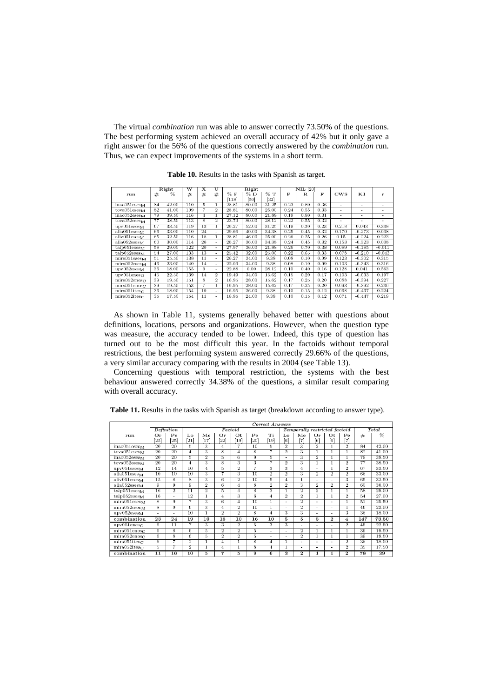The virtual *combination* run was able to answer correctly 73.50% of the questions. The best performing system achieved an overall accuracy of 42% but it only gave a right answer for the 56% of the questions correctly answered by the *combination* run. Thus, we can expect improvements of the systems in a short term.

|                                               |    | Right | w   | х  | U                        |       | Right  |       |      | <b>NIL</b> [20] |           |                          |                          |          |
|-----------------------------------------------|----|-------|-----|----|--------------------------|-------|--------|-------|------|-----------------|-----------|--------------------------|--------------------------|----------|
| run                                           | #  | %     | #   | #  | #                        | % F   | $\%$ D | %T    | P    | R.              | F         | <b>CWS</b>               | K1                       | r        |
|                                               |    |       |     |    |                          | [118] | 501    | [32]  |      |                 |           |                          |                          |          |
| inao051eses <sub>M</sub>                      | 84 | 42.00 | 110 | 5. |                          | 28.81 | 80.00  | 31.25 | 0.23 | 0.80            | 0.36      | ٠                        | $\overline{\phantom{a}}$ | ۰        |
| $tova051eses_M$                               | 82 | 41.00 | 109 |    | $\overline{2}$           | 28.81 | 80.00  | 25.00 | 0.24 | 0.55            | 0.33      | ٠                        | $\overline{\phantom{0}}$ | ۰        |
| inao052esesM                                  | 79 | 39.50 | 116 | 4  |                          | 27.12 | 80.00  | 21.88 | 0.19 | 0.80            | 0.31      | $\overline{\phantom{a}}$ | ٠                        | ٠        |
| $tova052$ eses $M$                            | 77 | 38.50 | 113 | 8  | $\overline{2}$           | 23.73 | 80.00  | 28.12 | 0.22 | 0.55            | 0.32      | ۰                        |                          |          |
| $upv051$ eses $M$                             | 67 | 33.50 | 119 | 13 | 1                        | 26.27 | 52.00  | 31.25 | 0.19 | 0.30            | 0.23      | 0.218                    | 0.043                    | 0.338    |
| $alia051eses_M$                               | 66 | 33.00 | 110 | 24 | $\overline{\phantom{a}}$ | 29.66 | 40.00  | 34.38 | 0.25 | 0.45            | 0.32      | 0.170                    | $-0.273$                 | 0.038    |
| $aliv051$ eses $M$                            | 65 | 32.50 | 116 | 18 | 1.                       | 28.81 | 46.00  | 25.00 | 0.26 | 0.25            | 0.26      | 0.15                     | $-0.224$                 | 0.223    |
| alia052eses <sub>M</sub>                      | 60 | 30.00 | 114 | 26 | $\sim$                   | 26.27 | 36.00  | 34.38 | 0.24 | 0.45            | 0.32      | 0.153                    | $-0.323$                 | 0.038    |
| $talp051$ eses $M$                            | 58 | 29.00 | 122 | 20 | $\sim$                   | 27.97 | 36.00  | 21.88 | 0.26 | 0.70            | 0.38      | 0.089                    | $-0.185$                 | $-0.011$ |
| $talp052$ eses $M$                            | 54 | 27.00 | 133 | 13 | $\sim$                   | 25.42 | 32.00  | 25.00 | 0.22 | 0.65            | 0.33      | 0.078                    | $-0.210$                 | $-0.043$ |
| $mira051$ eses $M$                            | 51 | 25.50 | 138 | 11 | $\overline{\phantom{a}}$ | 26.27 | 34.00  | 9.38  | 0.08 | 0.10            | 0.09      | 0.123                    | $-0.302$                 | 0.315    |
| $mira052$ eses $M$                            | 46 | 23.00 | 140 | 14 | $\sim$                   | 22.03 | 34.00  | 9.38  | 0.08 | 0.10            | 0.09      | 0.103                    | $-0.343$                 | 0.316    |
| $upv052$ eses $M$                             | 36 | 18.00 | 155 | 9  | ٠                        | 22.88 | 0.00   | 28.12 | 0.10 | 0.40            | 0.16      | 0.128                    | 0.041                    | 0.563    |
| upv051enesC                                   | 45 | 22.50 | 139 | 14 | $\overline{2}$           | 19.49 | 34.00  | 15.62 | 0.15 | 0.20            | 0.17      | 0.103                    | $-0.033$                 | 0.197    |
| mira052enesc                                  | 39 | 19.50 | 151 | 8  | $\overline{2}$           | 16.95 | 28.00  | 15.62 | 0.17 | 0.25            | 0.20      | 0.088                    | $-0.394$                 | 0.227    |
| $mira051$ enes $c$                            | 39 | 19.50 | 153 |    |                          | 16.95 | 28.00  | 15.62 | 0.17 | 0.25            | $_{0.20}$ | 0.093                    | $-0.392$                 | 0.230    |
| $\overline{\text{mira05}}$ lites <sub>C</sub> | 36 | 18.00 | 154 | 10 | $\sim$                   | 16.95 | 26.00  | 9.38  | 0.10 | 0.15            | 0.12      | 0.068                    | $-0.437$                 | 0.224    |
| $mira052$ ites $c$                            | 35 | 17.50 | 154 | 11 | ٠                        | 16.95 | 24.00  | 9.38  | 0.10 | 0.15            | 0.12      | 0.071                    | $-0.447$                 | 0.219    |

**Table 10.** Results in the tasks with Spanish as target.

As shown in Table 11, systems generally behaved better with questions about definitions, locations, persons and organizations. However, when the question type was measure, the accuracy tended to be lower. Indeed, this type of question has turned out to be the most difficult this year. In the factoids without temporal restrictions, the best performing system answered correctly 29.66% of the questions, a very similar accuracy comparing with the results in 2004 (see Table 13).

Concerning questions with temporal restriction, the systems with the best behaviour answered correctly 34.38% of the questions, a similar result comparing with overall accuracy.

|                          |                         |                 |                 |                |                |                |                | Correct Answers |                          |                               |                          |                |                         |     |       |
|--------------------------|-------------------------|-----------------|-----------------|----------------|----------------|----------------|----------------|-----------------|--------------------------|-------------------------------|--------------------------|----------------|-------------------------|-----|-------|
|                          |                         | Definition      |                 |                |                | Factoid        |                |                 |                          | Temporally restricted factoid |                          |                |                         |     | Total |
| run                      | Оr                      | Pe              | Lo              | Me             | Or             | $_{\rm Ot}$    | $_{\rm Pe}$    | Ti              | Lo                       | Me                            | Or                       | Ot.            | Pe                      | #   | $\%$  |
|                          | $[25]$                  | $[25]$          | $^{21}$         | $[17]$         | 22             | 19             | [20]           | $[19]$          | $\lceil 6 \rceil$        | 7                             | $\lceil 6 \rceil$        | [6]            | $^{[7]}$                |     |       |
| $in a o 051 e$ ses $M$   | 20                      | 20              | 5               | 3              | 4              | 7              | 10             | 5               | $\overline{2}$           | 3                             | $\overline{2}$           |                | $\overline{2}$          | 84  | 42.00 |
| $tova051$ eses $M$       | 20                      | 20              | 4               | 3              | 8              | $\overline{4}$ | 8              | $\overline{7}$  | $\overline{2}$           | 3                             |                          | 1              | $\mathbf{1}$            | 82  | 41.00 |
| inao052esesM             | 20                      | 20              | 5               | $\overline{2}$ | $\overline{5}$ | 6              | 9              | 5               | ٠                        | 3                             | $\overline{2}$           |                |                         | 79  | 39.50 |
| $tova052$ eses $M$       | 20                      | 20              | 4               | 3              | 8              | 3              | 3              | 7               | $\overline{2}$           | 3                             |                          |                | $\overline{2}$          | 77  | 38.50 |
| $upv051$ eses $M$        | $\overline{12}$         | 14              | 10              | 4              | 5              | $\overline{2}$ | 7              | 3               | 3                        | 4                             |                          | ī              | $\overline{2}$          | 67  | 33.50 |
| alia051eses <sub>M</sub> | 10                      | 10              | 10              | 3              | 7              | 3              | 10             | $\overline{2}$  | $\overline{2}$           | 3                             | $\overline{2}$           | $\overline{2}$ | $\overline{2}$          | 66  | 33.00 |
| $aliv051$ eses $M$       | 15                      | 8               | 8               | 3              | 6              | $\overline{2}$ | 10             | 5               | $\boldsymbol{\Delta}$    | $\mathbf{1}$                  |                          | ٠              | 3                       | 65  | 32.50 |
| alia052esesM             | 9                       | q               | Q               | $\overline{2}$ | 6              | $\overline{4}$ | 8              | $\overline{2}$  | $\overline{2}$           | 3                             | $\overline{2}$           | $\overline{2}$ | $\overline{2}$          | 60  | 30.00 |
| $talp051$ eses $M$       | 16                      | $\overline{2}$  | $\overline{11}$ | $\overline{2}$ | 5              | $\overline{4}$ | $\overline{s}$ | $\overline{3}$  |                          | $\overline{2}$                | $\overline{2}$           |                |                         | 58  | 29.00 |
| $talp052$ eses $M$       | 16                      | ٠               | 12              |                | 4              | 3              | 6              | $\overline{4}$  | $\overline{2}$           | $\overline{2}$                |                          |                | $\overline{2}$          | 54  | 27.00 |
| $min051$ eses $M$        | 8                       | 9               |                 | 3              | 6              | 4              | 10             |                 |                          | $\overline{2}$                |                          | ÷              | ī                       | 51  | 25.50 |
| $mira052$ eses $M$       | $\overline{\mathbf{x}}$ | 9               | 6               | 3              | $\overline{4}$ | $\overline{2}$ | 10             | $\mathbf{1}$    | $\overline{\phantom{a}}$ | $\overline{2}$                | $\overline{\phantom{a}}$ | $\overline{a}$ | $\mathbf{1}$            | 46  | 23.00 |
| $upv052$ eses $M$        | ×.                      | ٠               | 10              |                | $\overline{2}$ | $\overline{2}$ | 8              | 4               | 3                        | 3                             |                          | ٠              | 3                       | 36  | 18.00 |
| combination              | 23                      | 24              | 19              | 10             | 16             | 10             | 16             | 10              | 5                        | 5                             | 3                        | $\mathbf{2}$   | 4                       | 147 | 73.50 |
| upv051enes <sub>C</sub>  | 6                       | $\overline{11}$ | 7               | 3              | 3              | $\overline{2}$ | 5.             | 3               | 3                        | ۰                             |                          | ۰              | $\overline{2}$          | 45  | 22.50 |
| mira051enes <sub>C</sub> | 6                       | 8               | 6               | 5              | $\overline{2}$ | $\overline{2}$ | 5              | ٠               | ٠                        | $\mathbf{2}$                  | 1                        | 1              | 1                       | 39  | 19.50 |
| mira052enes <sub>C</sub> | 6                       | 8               | 6               | 5              | $\overline{2}$ | $\overline{2}$ | 5              | ٠               | $\overline{\phantom{a}}$ | $\overline{2}$                |                          | 1              | $\mathbf{1}$            | 39  | 19.50 |
| $mira051$ ites $c$       | 6                       | 7               | $\overline{2}$  |                | 4              | 1              | 8              | 4               |                          | ۰                             | ۰                        | ۰              | $\overline{2}$          | 36  | 18.00 |
| mira052ites <sub>C</sub> | 5                       | 7               | $\overline{2}$  |                | 4              |                | 8              | $\overline{4}$  |                          | ۰                             | ٠                        | ۰              | $\overline{2}$          | 35  | 17.50 |
| combination              | $\overline{11}$         | 16              | 10              | 5              | 7              | 5              | $\Omega$       | 6               | 3                        | $\overline{\mathbf{2}}$       |                          |                | $\overline{\mathbf{2}}$ | 78  | 39    |

**Table 11.** Results in the tasks with Spanish as target (breakdown according to answer type).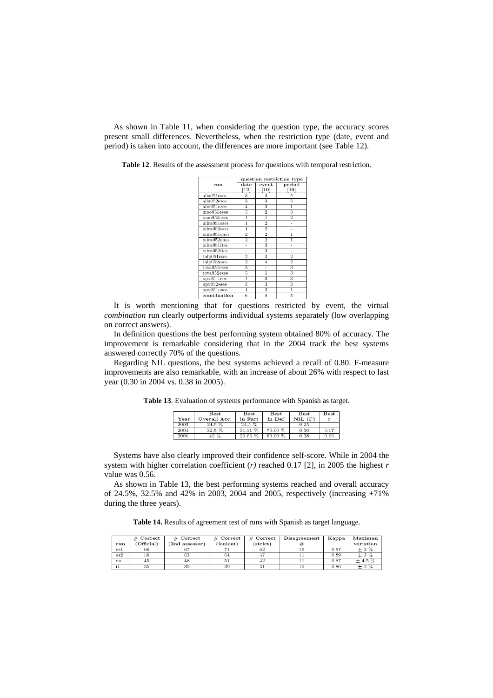As shown in Table 11, when considering the question type, the accuracy scores present small differences. Nevertheless, when the restriction type (date, event and period) is taken into account, the differences are more important (see Table 12).

|                |                |                | question restriction type |
|----------------|----------------|----------------|---------------------------|
|                |                |                |                           |
| run            | date           | event          | period                    |
|                | $[12]$         | $[10]$         | $\left[10\right]$         |
| alia051eses    | 3              | 3              | 5                         |
| alia052eses    | 3              | 3              | 5                         |
| aliv051eses    | 4              | 3              | ī                         |
| inao051eses    | 5              | $\overline{2}$ | 3                         |
| inao052eses    | 4              | 1              | $\overline{2}$            |
| mira051eses    | 1              | $\overline{2}$ |                           |
| mira052eses    | 1              | $\overline{2}$ |                           |
| mira051enes    | $\overline{2}$ | $\overline{2}$ | ī                         |
| mira052enes    | $\overline{2}$ | $\overline{2}$ |                           |
| mira051ites    | i.             | 3              | ٠                         |
| mira052ites    |                | 3              |                           |
| $talp051$ eses | $\overline{2}$ | 3              | $\overline{2}$            |
| $talp052$ eses | $\overline{2}$ | $\overline{4}$ | $\overline{2}$            |
| $tova051$ eses | 5              |                | 3                         |
| $tova052$ eses | 5              | ī              | 3                         |
| upv051eses     | 4              | 3              | 3                         |
| upv052eses     | 3              | 3              | 3                         |
| upv051enes     | 1              | 3              | 1                         |
| combination    | 6              | 8              | 5                         |

**Table 12**. Results of the assessment process for questions with temporal restriction.

It is worth mentioning that for questions restricted by event, the virtual *combination* run clearly outperforms individual systems separately (low overlapping on correct answers).

In definition questions the best performing system obtained 80% of accuracy. The improvement is remarkable considering that in the 2004 track the best systems answered correctly 70% of the questions.

Regarding NIL questions, the best systems achieved a recall of 0.80. F-measure improvements are also remarkable, with an increase of about 26% with respect to last year (0.30 in 2004 vs. 0.38 in 2005).

|  |  | <b>Table 13.</b> Evaluation of systems performance with Spanish as target. |
|--|--|----------------------------------------------------------------------------|
|  |  |                                                                            |

|      | Best         | Best          | Best           | Best    | $_{\rm Best}$            |
|------|--------------|---------------|----------------|---------|--------------------------|
| Year | Overall Acc. | in Fact       | in Def         | NIL (F) |                          |
| 2003 | $24.5\%$     | $24.5\%$      | $\overline{a}$ | 0.25    | $\overline{\phantom{a}}$ |
| 2004 | 32.5 %       | $\%$<br>31.11 | 70.00 %        | 0.30    | 0.17                     |
| 2005 | 42 %         | %<br>29.66    | 80.00%         | 0.38    | 0.56                     |

Systems have also clearly improved their confidence self-score. While in 2004 the system with higher correlation coefficient (*r)* reached 0.17 [2], in 2005 the highest *r* value was 0.56.

As shown in Table 13, the best performing systems reached and overall accuracy of 24.5%, 32.5% and 42% in 2003, 2004 and 2005, respectively (increasing +71% during the three years).

**Table 14.** Results of agreement test of runs with Spanish as target language.

|          | $#$ Correct | $\#$ Correct     | $#$ Correct | $#$ Correct         | <b>Disagreement</b> | Kappa | Maximun   |
|----------|-------------|------------------|-------------|---------------------|---------------------|-------|-----------|
| run      | (Official)  | $(2nd$ assessor) | (lenient)   | $(\mathrm{strict})$ |                     |       | variation |
| $_{est}$ | 66          |                  |             |                     |                     | 0.87  |           |
| es2      | 58          | 63               |             |                     |                     | 0.89  |           |
| en       |             |                  |             |                     |                     | 0.87  | 4.5       |
| it       | 35          |                  | 39          |                     |                     | 0.86  | $\Omega$  |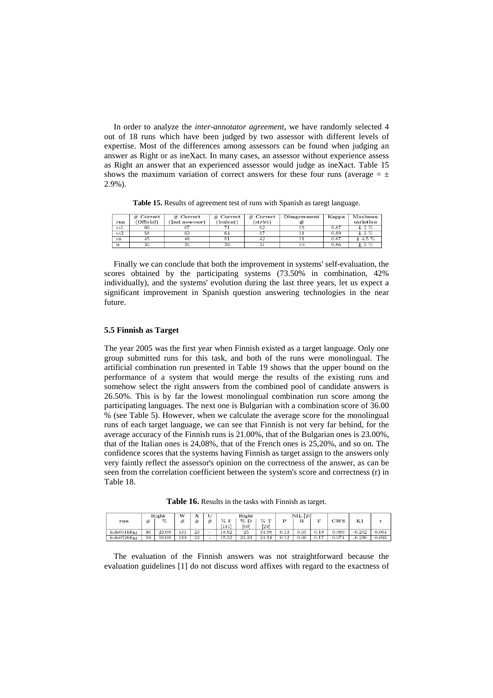In order to analyze the *inter-annotator agreement*, we have randomly selected 4 out of 18 runs which have been judged by two assessor with different levels of expertise. Most of the differences among assessors can be found when judging an answer as Right or as ineXact. In many cases, an assessor without experience assess as Right an answer that an experienced assessor would judge as ineXact. Table 15 shows the maximum variation of correct answers for these four runs (average  $= \pm$ 2.9%).

**Table 15.** Results of agreement test of runs with Spanish as taregt language.

|              | $#$ Correct | $#$ Correct      | $#$ Correct | $#$ Correct       | Disagreement | Kappa     | Maximun   |
|--------------|-------------|------------------|-------------|-------------------|--------------|-----------|-----------|
| run          | (Official)  | $(2nd$ assessor) | (lenient)   | $(\text{strict})$ |              |           | variation |
| $_{\rm es1}$ | 66          |                  |             | 62                |              | $_{0.87}$ |           |
| es2          | 58          | 63               | 64          |                   |              | 0.89      | ±з        |
| en           | 45          | 48               | 51          | 49                |              | 0.87      | 4.5       |
| 16           | 35          | 35               | 39          | o i               |              | 0.86      | $2\%$     |

Finally we can conclude that both the improvement in systems' self-evaluation, the scores obtained by the participating systems (73.50% in combination, 42% individually), and the systems' evolution during the last three years, let us expect a significant improvement in Spanish question answering technologies in the near future.

#### **5.5 Finnish as Target**

The year 2005 was the first year when Finnish existed as a target language. Only one group submitted runs for this task, and both of the runs were monolingual. The artificial combination run presented in Table 19 shows that the upper bound on the performance of a system that would merge the results of the existing runs and somehow select the right answers from the combined pool of candidate answers is 26.50%. This is by far the lowest monolingual combination run score among the participating languages. The next one is Bulgarian with a combination score of 36.00 % (see Table 5). However, when we calculate the average score for the monolingual runs of each target language, we can see that Finnish is not very far behind, for the average accuracy of the Finnish runs is 21.00%, that of the Bulgarian ones is 23.00%, that of the Italian ones is 24,08%, that of the French ones is 25,20%, and so on. The confidence scores that the systems having Finnish as target assign to the answers only very faintly reflect the assessor's opinion on the correctness of the answer, as can be seen from the correlation coefficient between the system's score and correctness (r) in Table 18.

**Table 16.** Results in the tasks with Finnish as target.

|                    |    | Right             | w   | 76.97<br>$\Lambda$ | $\tilde{\phantom{a}}$ |       | Right          |             |              | 201<br>NIL |           |               |          |       |
|--------------------|----|-------------------|-----|--------------------|-----------------------|-------|----------------|-------------|--------------|------------|-----------|---------------|----------|-------|
| run                | #  | %                 | #   | #                  |                       | $%$ F | %              | %<br>$\sim$ |              | $_{\rm R}$ | Е         | $_{\rm{CWS}}$ | K1       |       |
|                    |    |                   |     |                    |                       | 111   | 60             | [29]        |              |            |           |               |          |       |
| $hels051$ fifi $M$ | 46 | 23.00<br>$\Omega$ | 131 | 23                 | ۰                     | 8.92  | $\Omega$<br>40 | 34.98       | 12<br>U. L.S | 0.35       | $_{0.19}$ | 0.090         | $-0.202$ | 0.064 |
| $hels052fifi_M$    | 38 | 19.00             | 140 | 22                 | ۰                     | 15.32 | 23.33          | 24.1        | 19           | , 30       | 0.17      | 0.074         | $-0.230$ | 0.093 |

The evaluation of the Finnish answers was not straightforward because the evaluation guidelines [1] do not discuss word affixes with regard to the exactness of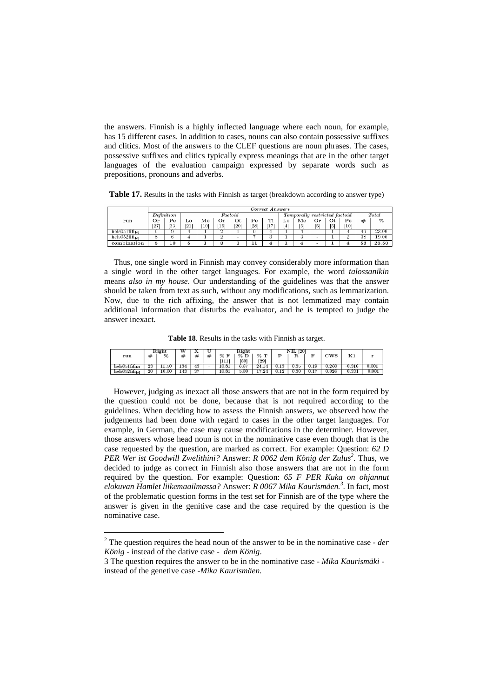the answers. Finnish is a highly inflected language where each noun, for example, has 15 different cases. In addition to cases, nouns can also contain possessive suffixes and clitics. Most of the answers to the CLEF questions are noun phrases. The cases, possessive suffixes and clitics typically express meanings that are in the other target languages of the evaluation campaign expressed by separate words such as prepositions, pronouns and adverbs.

Table 17. Results in the tasks with Finnish as target (breakdown according to answer type)

|                       |     |            |     |      |        |         |           | Correct Answers |    |                               |                          |     |      |    |       |
|-----------------------|-----|------------|-----|------|--------|---------|-----------|-----------------|----|-------------------------------|--------------------------|-----|------|----|-------|
|                       |     | Definition |     |      |        | Factoid |           |                 |    | Temporally restricted factoid |                          |     |      |    | Total |
| run                   | Or  | Рe         | Lo  | Мe   | Оr     | Οt      | Рe        | Тi              | LΟ | Me                            | Эr                       | .Jt | Рe   |    | $\%$  |
|                       | [27 | 33         | [21 | [10] | 15     | [20]    | [28]      |                 |    |                               | 5                        | 5   | [10] |    |       |
| hels051fifim          |     |            |     |      | ⋍      |         |           |                 |    |                               | $\overline{\phantom{a}}$ |     |      | 46 | 23.00 |
| $hels052fifi_{\rm M}$ |     |            |     |      | o<br>⋍ | -       |           |                 |    |                               | ۰                        |     |      | 38 | 19.00 |
| combination           |     | 10         |     |      | з      |         | <b>LA</b> |                 |    |                               | -                        |     |      | 53 | 26.50 |

Thus, one single word in Finnish may convey considerably more information than a single word in the other target languages. For example, the word *talossanikin* means *also in my house*. Our understanding of the guidelines was that the answer should be taken from text as such, without any modifications, such as lemmatization. Now, due to the rich affixing, the answer that is not lemmatized may contain additional information that disturbs the evaluator, and he is tempted to judge the answer inexact.

**Table 18**. Results in the tasks with Finnish as target.

|                          |     | . ight |      |                                 | u |                 | Right |               |      | -20<br>NIL. |      |                    |              |            |
|--------------------------|-----|--------|------|---------------------------------|---|-----------------|-------|---------------|------|-------------|------|--------------------|--------------|------------|
| run                      |     | %      | 11.7 |                                 |   | 96<br><b>IF</b> | œ     | Oz.<br>m<br>m |      |             |      | $_{\rm{7WS}}$<br>ິ | K1           |            |
|                          |     |        |      |                                 |   | 91111           | [60]  | $^{129}$      |      |             |      |                    |              |            |
| ∌051 fifiM<br>heli       | -64 | 50     | 134  | $\sim$<br>40.                   |   |                 | 6.67  |               |      |             |      | .260               | 516<br>-11.1 | $_{0.001}$ |
| hels052fifi <sub>M</sub> | 20  | 10.00  | 143  | $\overline{\phantom{a}}$<br>، ت |   | .81             | 5.00  | .24           | 0.12 |             | 0.1. | $_{0.026}$         | . 331<br>-97 | $-0.001$   |

However, judging as inexact all those answers that are not in the form required by the question could not be done, because that is not required according to the guidelines. When deciding how to assess the Finnish answers, we observed how the judgements had been done with regard to cases in the other target languages. For example, in German, the case may cause modifications in the determiner. However, those answers whose head noun is not in the nominative case even though that is the case requested by the question, are marked as correct. For example: Question: *62 D PER Wer ist Goodwill Zwelithini?* Answer: *R 0062 dem König der Zulus<sup>2</sup>* . Thus, we decided to judge as correct in Finnish also those answers that are not in the form required by the question. For example: Question: *65 F PER Kuka on ohjannut elokuvan Hamlet liikemaailmassa?* Answer: *R 0067 Mika Kaurismäen.<sup>3</sup>* . In fact, most of the problematic question forms in the test set for Finnish are of the type where the answer is given in the genitive case and the case required by the question is the nominative case.

 $\overline{a}$ 

<sup>2</sup> The question requires the head noun of the answer to be in the nominative case - *der König* - instead of the dative case - *dem König*.

<sup>3</sup> The question requires the answer to be in the nominative case - *Mika Kaurismäki* instead of the genetive case -*Mika Kaurismäen.*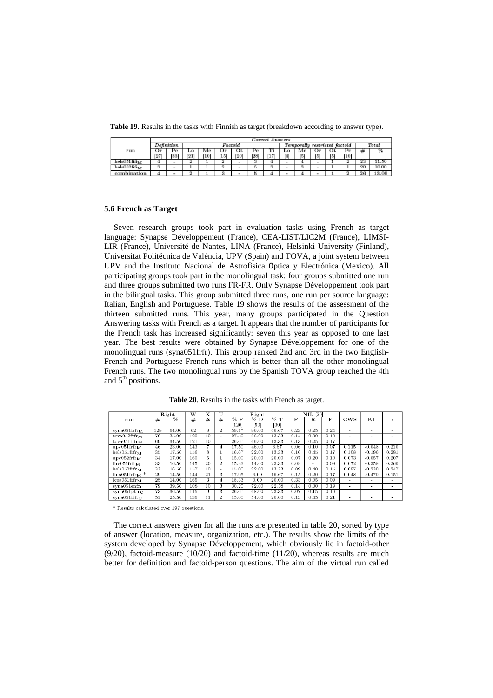**Table 19**. Results in the tasks with Finnish as target (breakdown according to answer type).

|                          |           |                          |          |     |    |                          |         | Correct Answers |                          |             |                          |                    |      |    |            |
|--------------------------|-----------|--------------------------|----------|-----|----|--------------------------|---------|-----------------|--------------------------|-------------|--------------------------|--------------------|------|----|------------|
|                          |           | Jejintiton               |          |     |    | Factoid                  |         |                 |                          | Temporally  |                          | restricted factoid |      |    | Total      |
| run                      | oı        |                          | Lo       | Me  | Or | Οt                       | Ρe      | . .             | Lσ                       | Me          | ىر                       |                    | Pe   |    | %          |
|                          | 1317<br>÷ | 331                      | 911<br>. | 101 | 15 | [20]                     | $^{28}$ | 17              |                          | [5]         | Б                        | [5]                | [10] |    |            |
| hels051fifi <sub>M</sub> |           | -                        |          |     | -  | -                        | ت       |                 | -                        |             |                          |                    |      | 22 | 11.50      |
| hels052fifi <sub>M</sub> |           | $\overline{\phantom{a}}$ |          |     |    | -                        | э       | $\tilde{ }$     | $\overline{\phantom{0}}$ | $\tilde{ }$ | $\overline{\phantom{a}}$ |                    |      | 20 | $_{10.00}$ |
| combination              |           | $\overline{\phantom{a}}$ |          |     | a  | $\overline{\phantom{a}}$ | ь       |                 |                          |             | $\overline{\phantom{a}}$ |                    |      | 26 | 13.00      |

#### **5.6 French as Target**

Seven research groups took part in evaluation tasks using French as target language: Synapse Développement (France), CEA-LIST/LIC2M (France), LIMSI-LIR (France), Université de Nantes, LINA (France), Helsinki University (Finland), Universitat Politécnica de Valéncia, UPV (Spain) and TOVA, a joint system between UPV and the Instituto Nacional de Astrofìsica Óptica y Electrónica (Mexico). All participating groups took part in the monolingual task: four groups submitted one run and three groups submitted two runs FR-FR. Only Synapse Développement took part in the bilingual tasks. This group submitted three runs, one run per source language: Italian, English and Portuguese. Table 19 shows the results of the assessment of the thirteen submitted runs. This year, many groups participated in the Question Answering tasks with French as a target. It appears that the number of participants for the French task has increased significantly: seven this year as opposed to one last year. The best results were obtained by Synapse Développement for one of the monolingual runs (syna051frfr). This group ranked 2nd and 3rd in the two English-French and Portuguese-French runs which is better than all the other monolingual French runs. The two monolingual runs by the Spanish TOVA group reached the 4th and 5<sup>th</sup> positions.

|                                        |                 | Right | w   | х        | Ū                        |       | Right  |        |      | $NIL$ [20] |      |                          |          |       |
|----------------------------------------|-----------------|-------|-----|----------|--------------------------|-------|--------|--------|------|------------|------|--------------------------|----------|-------|
| run                                    | #               | $\%$  | #   | #        | #                        | $%$ F | $\%$ D | $\%$ T | P    | $\bf R$    | F    | CWS                      | K1       | r     |
|                                        |                 |       |     |          |                          | 120   | [50]   | [30]   |      |            |      |                          |          |       |
| $s$ vna $051$ frfr $M$                 | 128             | 64.00 | 62  | 8        | $\mathbf{2}$             | 59.17 | 86.00  | 46.67  | 0.23 | 0.25       | 0.24 | ÷                        |          |       |
| $tova052$ frfr $M$                     | 70              | 35.00 | 120 | 10       |                          | 27.50 | 66.00  | 13.33  | 0.14 | 0.30       | 0.19 | -                        |          |       |
| tova051frfr <sub>M</sub>               | 69              | 34.50 | 121 | 10       | $\overline{\phantom{a}}$ | 26.67 | 66.00  | 13.33  | 0.13 | 0.25       | 0.17 | ۰                        |          |       |
| $upv051$ frfr $M$                      | 46              | 23.00 | 143 |          |                          | 17.50 | 46.00  | 6.67   | 0.06 | 0.10       | 0.07 | 0.115                    | $-0.048$ | 0.210 |
| $hels051$ frfr $M$                     | 35              | 17.50 | 156 | 8        |                          | 16.67 | 22.00  | 13.33  | 0.10 | 0.45       | 0.17 | 0.108                    | $-0.196$ | 0.281 |
| $upv052$ frfr $M$                      | 34              | 17.00 | 160 | 5.       |                          | 15.00 | 20.00  | 20.00  | 0.07 | 0.20       | 0.10 | 0.073                    | $-0.057$ | 0.207 |
| $line051$ frfr $M$                     | 33              | 16.50 | 145 | 20       | $\overline{2}$           | 15.83 | 14.00  | 23.33  | 0.09 |            | 0.09 | 0.072                    | $-0.358$ | 0.260 |
| hels052frfr <sub>M</sub>               | 33              | 16.50 | 157 | 10       | -                        | 15.00 | 22.00  | 13.33  | 0.09 | 0.40       | 0.15 | 0.097                    | $-0.230$ | 0.247 |
| $\overline{\text{lina051}}$ frfr $M^*$ | 29              | 14.50 | 144 | 21       | З                        | 17.95 | 6.00   | 16.67  | 0.15 | 0.20       | 0.17 | 0.048                    | $-0.470$ | 0.151 |
| $lcea051$ frfr $M$                     | 28              | 14.00 | 165 | 3        |                          | 18.33 | 0.00   | 20.00  | 0.33 | 0.05       | 0.09 | $\blacksquare$           |          |       |
| syna051enfrc                           | 79              | 39.50 | 108 | $10^{-}$ | 3                        | 30.25 | 72.00  | 22.58  | 0.14 | 0.30       | 0.19 | -                        |          |       |
| syna051ptfrc                           | $\overline{73}$ | 36.50 | 115 | 9        | 3                        | 26.67 | 68.00  | 23.33  | 0.07 | 0.15       | 0.10 | $\overline{\phantom{0}}$ |          |       |
| $syna051$ itfr $\alpha$                | 51              | 25.50 | 136 |          | $\Omega$                 | 15.00 | 54.00  | 20.00  | 0.13 | 0.45       | 0.21 | ۰                        |          |       |

**Table 20**. Results in the tasks with French as target.

\* Results calculated over 197 questions.

The correct answers given for all the runs are presented in table 20, sorted by type of answer (location, measure, organization, etc.). The results show the limits of the system developed by Synapse Développement, which obviously lie in factoid-other  $(9/20)$ , factoid-measure  $(10/20)$  and factoid-time  $(11/20)$ , whereas results are much better for definition and factoid-person questions. The aim of the virtual run called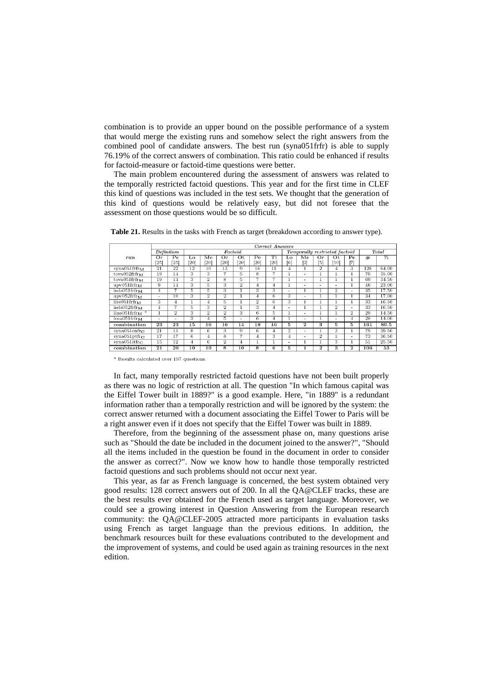combination is to provide an upper bound on the possible performance of a system that would merge the existing runs and somehow select the right answers from the combined pool of candidate answers. The best run (syna051frfr) is able to supply 76.19% of the correct answers of combination. This ratio could be enhanced if results for factoid-measure or factoid-time questions were better.

The main problem encountered during the assessment of answers was related to the temporally restricted factoid questions. This year and for the first time in CLEF this kind of questions was included in the test sets. We thought that the generation of this kind of questions would be relatively easy, but did not foresee that the assessment on those questions would be so difficult.

|                          |                          |                          |    |                |                |         |                | Correct Answers |                          |                                                                                                                                                                     |                          |                               |                           |                 |       |
|--------------------------|--------------------------|--------------------------|----|----------------|----------------|---------|----------------|-----------------|--------------------------|---------------------------------------------------------------------------------------------------------------------------------------------------------------------|--------------------------|-------------------------------|---------------------------|-----------------|-------|
|                          |                          | Definition               |    |                |                | Factoid |                |                 |                          |                                                                                                                                                                     |                          | Temporally restricted factoid |                           |                 | Total |
| run                      | Оr                       | $_{\rm Pe}$              | Lo | Me             | Оr             | Ot      | Рe             | Ti              | Lo                       | Me                                                                                                                                                                  | Or                       | Ot.                           | Pе                        | #               | $\%$  |
|                          | [25]                     | $[25]$                   | 20 | $^{[20]}$      | 20             | [20]    | [20]           | 20              | [6]                      | $[2] \centering \includegraphics[width=0.3\textwidth]{images/TrDiM1.png} \caption{The 3D (blue) and the 4D (blue) are shown in the left and right.} \label{TrDiS5}$ | [5]                      | [10]                          | [7]                       |                 |       |
| $syna051$ frfr $M$       | 21                       | 22                       | 12 | 10             | 13             | 9       | 16             | 11              | 4                        |                                                                                                                                                                     | $\mathbf{2}$             | 4                             | 3                         | 128             | 64.00 |
| $tova052$ frfr $M$       | 19                       | 14                       | 3  | 3              | 7              | 5       | 8              | 7               |                          | $\sim$                                                                                                                                                              |                          |                               |                           | 70              | 35.00 |
| $tova051$ frfr $M$       | 19                       | 14                       | 3  | $\overline{2}$ | $\overline{8}$ | 5       |                | 7               |                          | ۰                                                                                                                                                                   |                          |                               |                           | 69              | 34.50 |
| $upv051$ frfr $M$        | 9                        | 14                       | 3  | 5              | 3              | 2       | 4              | 4               |                          | $\overline{\phantom{a}}$                                                                                                                                            | $\overline{\phantom{a}}$ | -                             |                           | 46              | 23.00 |
| hels051frfr <sub>M</sub> | 4                        |                          | 5  | 5              | 3              |         | 3              | з               | $\overline{\phantom{a}}$ |                                                                                                                                                                     |                          | $\overline{2}$                | ۰                         | 35              | 17.50 |
| $upv052$ frfr $M$        | $\overline{\phantom{a}}$ | 10                       | 3  | $\overline{2}$ | $\overline{2}$ |         |                | 6               | 3                        | $\overline{\phantom{a}}$                                                                                                                                            |                          |                               |                           | 34              | 17.00 |
| lire051frfr <sub>M</sub> | 3                        | 4                        |    | 4              | 5              |         | $\overline{2}$ | 6               | 3                        |                                                                                                                                                                     |                          |                               |                           | 33              | 16.50 |
| hels052frfr <sub>M</sub> | $\overline{4}$           | ₩                        | 5  | 3              | $\overline{2}$ |         | 3              | $\overline{4}$  | $\overline{\phantom{0}}$ |                                                                                                                                                                     |                          | $\overline{2}$                | $\overline{\phantom{0}}$  | 33              | 16.50 |
| $lina051$ frfr $M$       |                          | $\overline{2}$           | 3  | $\overline{2}$ | $\overline{2}$ | 2       | 6              | 5               |                          | $\sim$                                                                                                                                                              |                          |                               | $\overline{2}$            | 29              | 14.50 |
| $lcea051$ frfr $M$       | $\overline{\phantom{a}}$ | $\overline{\phantom{a}}$ | 3  | 4              | 5              | -       | 6              | $\overline{4}$  |                          |                                                                                                                                                                     |                          |                               | $\boldsymbol{\varLambda}$ | 28              | 14.00 |
| combination              | $\overline{23}$          | 23                       | 15 | 16             | 16             | 14      | 18             | 16              | 5                        | $\bf{2}$                                                                                                                                                            | з                        | 5                             | 5                         | 161             | 80.5  |
| syna051enfrc             | 21                       | 15                       | 8  | 6              | 3              | 9       | 6              | 4               | $\overline{2}$           | ۰                                                                                                                                                                   |                          | 3                             |                           | 79              | 39.50 |
| syna051ptfrc             | 17                       | 17                       | 6  | 4              | 8              | ≖       |                | 2               | 4                        | -                                                                                                                                                                   | $\overline{2}$           |                               | ۰                         | $\overline{73}$ | 36.50 |
| $syna051$ itfr $c$       | 15                       | 12                       | 4  | 6              | $\overline{2}$ | 4       |                |                 | $\overline{\phantom{a}}$ |                                                                                                                                                                     |                          | 3                             |                           | 51              | 25.50 |
| combination              | 21                       | 20                       | 10 | 10             | 8              | 10      | 8              | 6               | 5                        |                                                                                                                                                                     | $\bf{2}$                 | 3                             | $\overline{2}$            | 106             | 53    |

**Table 21.** Results in the tasks with French as target (breakdown according to answer type).

\* Results calculated over 197 questions

In fact, many temporally restricted factoid questions have not been built properly as there was no logic of restriction at all. The question "In which famous capital was the Eiffel Tower built in 1889?" is a good example. Here, "in 1889" is a redundant information rather than a temporally restriction and will be ignored by the system: the correct answer returned with a document associating the Eiffel Tower to Paris will be a right answer even if it does not specify that the Eiffel Tower was built in 1889.

Therefore, from the beginning of the assessment phase on, many questions arise such as "Should the date be included in the document joined to the answer?", "Should all the items included in the question be found in the document in order to consider the answer as correct?". Now we know how to handle those temporally restricted factoid questions and such problems should not occur next year.

This year, as far as French language is concerned, the best system obtained very good results: 128 correct answers out of 200. In all the QA@CLEF tracks, these are the best results ever obtained for the French used as target language. Moreover, we could see a growing interest in Question Answering from the European research community: the QA@CLEF-2005 attracted more participants in evaluation tasks using French as target language than the previous editions. In addition, the benchmark resources built for these evaluations contributed to the development and the improvement of systems, and could be used again as training resources in the next edition.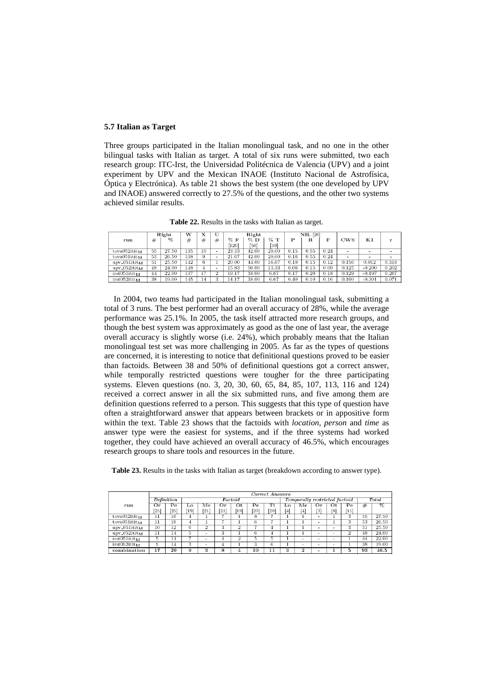#### **5.7 Italian as Target**

Three groups participated in the Italian monolingual task, and no one in the other bilingual tasks with Italian as target. A total of six runs were submitted, two each research group: ITC-Irst, the Universidad Politécnica de Valencia (UPV) and a joint experiment by UPV and the Mexican INAOE (Instituto Nacional de Astrofísica, Óptica y Electrónica). As table 21 shows the best system (the one developed by UPV and INAOE) answered correctly to 27.5% of the questions, and the other two systems achieved similar results.

**Table 22.** Results in the tasks with Italian as target.

|                     |    | Right | w   | x  | U             |       | Right           |        |      | <b>NIL</b> [20] |      |                          |                          |        |
|---------------------|----|-------|-----|----|---------------|-------|-----------------|--------|------|-----------------|------|--------------------------|--------------------------|--------|
| run                 | #  | ℅     | #   | #  | #             | $%$ F | $\%$<br>D       | $\%$ T | D    | R               | F    | $_{\text{CWS}}$          | Κ1                       | r      |
|                     |    |       |     |    |               | [120] | 50 <sup>1</sup> | [30]   |      |                 |      |                          |                          |        |
| tova052ititM        | 55 | 27.50 | 135 | 10 | $\sim$        | 23.33 | 42.00           | 20.00  | 0.15 | 0.55            | 0.24 | -                        | -                        | $\sim$ |
| tova051ititM        | 53 | 26.50 | 138 | 9  |               | 21.67 | 42.00           | 20.00  | 0.16 | 0.55            | 0.24 | $\overline{\phantom{0}}$ | $\overline{\phantom{a}}$ |        |
| upv_051ititM        | 51 | 25.50 | 142 |    |               | 20.00 | 44.00           | 16.67  | 0.10 | 0.15            | 0.12 | 0.156                    | 0.012                    | 0.316  |
| $upv_052$ itit $M$  | 48 | 24.00 | .48 |    |               | 15.83 | 50.00           | 13.33  | 0.06 | 0.15            | 0.09 | 0.125                    | $-0.200$                 | 0.202  |
| $irst051$ itit $_M$ | 44 | 22.00 | 137 |    | o             | 19.17 | 38.00           | 6.67   | 0.17 | 0.20            | 0.18 | 0.129                    | $-0.197$                 | 0.267  |
| $irst052$ itit $M$  | 38 | 19.00 | 145 | 14 | $\Omega$<br>s | 14.17 | 38.00           | 6.67   | 0.40 | 0.10            | 0.16 | 0.100                    | $-0.301$                 | 0.071  |

In 2004, two teams had participated in the Italian monolingual task, submitting a total of 3 runs. The best performer had an overall accuracy of 28%, while the average performance was 25.1%. In 2005, the task itself attracted more research groups, and though the best system was approximately as good as the one of last year, the average overall accuracy is slightly worse (i.e. 24%), which probably means that the Italian monolingual test set was more challenging in 2005. As far as the types of questions are concerned, it is interesting to notice that definitional questions proved to be easier than factoids. Between 38 and 50% of definitional questions got a correct answer, while temporally restricted questions were tougher for the three participating systems. Eleven questions (no. 3, 20, 30, 60, 65, 84, 85, 107, 113, 116 and 124) received a correct answer in all the six submitted runs, and five among them are definition questions referred to a person. This suggests that this type of question have often a straightforward answer that appears between brackets or in appositive form within the text. Table 23 shows that the factoids with *location*, *person* and *time* as answer type were the easiest for systems, and if the three systems had worked together, they could have achieved an overall accuracy of 46.5%, which encourages research groups to share tools and resources in the future.

| Table 23. Results in the tasks with Italian as target (breakdown according to answer type). |  |  |  |
|---------------------------------------------------------------------------------------------|--|--|--|
|---------------------------------------------------------------------------------------------|--|--|--|

|                          |                 | Correct Answers |    |                          |      |         |      |      |                               |                |                          |     |             |    |              |  |
|--------------------------|-----------------|-----------------|----|--------------------------|------|---------|------|------|-------------------------------|----------------|--------------------------|-----|-------------|----|--------------|--|
|                          |                 | Definition      |    |                          |      | Factoid |      |      | Temporally restricted factoid |                |                          |     |             |    | <b>Total</b> |  |
| run                      | Or              | Рe              | Lo | Me                       | Or   | Ot      | Pе   | Ti   | Lo                            | Me             | Or                       | Οt  | Рe          | #  | $\%$         |  |
|                          | 25              | $[25]$          | 19 | [21                      | [21] | 19      | [20] | [20] | 4                             | $\overline{4}$ | [3]                      | [8] | 11          |    |              |  |
| tova052itit <sub>M</sub> | 11              | 10              |    |                          |      |         | 8    |      |                               |                | -                        |     | $\sim$<br>А | 55 | 27.50        |  |
| tova051ititM             | $\overline{11}$ | 10              |    |                          | ≖    |         | 6    |      |                               |                | $\overline{\phantom{a}}$ |     | 3           | 53 | 26.50        |  |
| $upv_051$ itit $M$       | 10              | 12              | 6  | $\Omega$                 | 3    |         |      |      |                               |                | $\sim$                   | ۰   | 3           | 51 | 25.50        |  |
| $upv_052$ itit $M$       | $\overline{11}$ | 14              | 5  |                          | 3    |         | n    |      |                               |                | -                        | ۰   |             | 48 | 24.00        |  |
| $irst051$ itit $_M$      | 5               | 14              |    | -                        | ч    |         | 5    | 5.   |                               |                | $\overline{\phantom{a}}$ | ۰   |             | 44 | 22.00        |  |
| irst052itit <sub>M</sub> | 5               | 14              | 3  | $\overline{\phantom{a}}$ | ₩    |         | o    | 6    |                               | ۰              | $\overline{\phantom{a}}$ | ۰   |             | 38 | 19.00        |  |
| combination              | 17              | $2\overline{0}$ |    | 3                        | 8    |         | 10   |      | 3                             | $\sim$         |                          |     | 5           | 93 | 46.5         |  |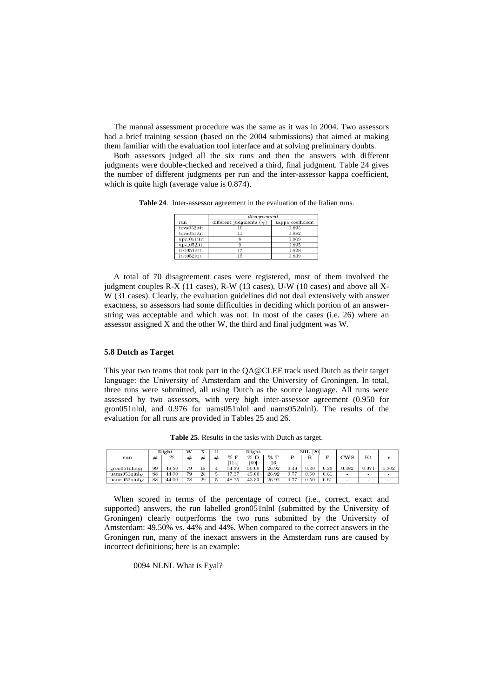The manual assessment procedure was the same as it was in 2004. Two assessors had a brief training session (based on the 2004 submissions) that aimed at making them familiar with the evaluation tool interface and at solving preliminary doubts.

Both assessors judged all the six runs and then the answers with different judgments were double-checked and received a third, final judgment. Table 24 gives the number of different judgments per run and the inter-assessor kappa coefficient, which is quite high (average value is 0.874).

 $disagreement$  $\begin{tabular}{c} different judgments (\#) & kappa coefficient \\ \hline 10 & 0.895 \\ 11 & 0.882 \\ \end{tabular}$ run tova052itit upv\_051itit  $0.909$  $\overline{8}$ 0.895 upv\_052itit

0.828

0.839

 $\overline{17}$ 

ŤΚ

 $\frac{1}{1}$  irst051itit

irst052itit

**Table 24**. Inter-assessor agreement in the evaluation of the Italian runs.

A total of 70 disagreement cases were registered, most of them involved the judgment couples R-X (11 cases), R-W (13 cases), U-W (10 cases) and above all X-W (31 cases). Clearly, the evaluation guidelines did not deal extensively with answer exactness, so assessors had some difficulties in deciding which portion of an answerstring was acceptable and which was not. In most of the cases (i.e. 26) where an assessor assigned X and the other W, the third and final judgment was W.

#### **5.8 Dutch as Target**

This year two teams that took part in the QA@CLEF track used Dutch as their target language: the University of Amsterdam and the University of Groningen. In total, three runs were submitted, all using Dutch as the source language. All runs were assessed by two assessors, with very high inter-assessor agreement (0.950 for gron051nlnl, and 0.976 for uams051nlnl and uams052nlnl). The results of the evaluation for all runs are provided in Tables 25 and 26.

|                                   |    | Right      | w  | $\lambda$ | U      |           | Right  |                |      | <b>NIL</b> [20] |      |                          |           |                          |
|-----------------------------------|----|------------|----|-----------|--------|-----------|--------|----------------|------|-----------------|------|--------------------------|-----------|--------------------------|
| run                               | #  | $\%$       |    |           | #      | $\%$<br>F | $\%$ D | $\%$<br>$\sim$ |      |                 | п    | ΣWS                      | K1        |                          |
|                                   |    |            |    |           |        | [114]     | 60     | [26]           |      |                 |      |                          |           |                          |
| gron 051nlnl <sub>M</sub>         | 99 | 49.<br>.50 | 79 | 18        |        | 54.39     | 50.00  | 26.92          | 0.46 | $_{0.30}$       | 0.36 | 0.382                    | $_{0.07}$ | 0.302                    |
| $uams051nlnl_M$                   | 88 | 44.00      | 79 | 28        | ဎ      | 47.37     | 15.00  | 26.92          | 0.77 | 0.50            | 0.61 | $\overline{\phantom{a}}$ | ۰         | $\overline{\phantom{a}}$ |
| $\text{uams052nlnl}_{\mathbf{M}}$ | 88 | 44.00      | 78 | 29        | н<br>◡ | 48.25     | 43.33  | 26.92          | J.77 | 0.50            | 0.61 | -                        | -         | $\overline{\phantom{0}}$ |

**Table 25**. Results in the tasks with Dutch as target.

When scored in terms of the percentage of correct (i.e., correct, exact and supported) answers, the run labelled gron051nlnl (submitted by the University of Groningen) clearly outperforms the two runs submitted by the University of Amsterdam: 49.50% vs. 44% and 44%. When compared to the correct answers in the Groningen run, many of the inexact answers in the Amsterdam runs are caused by incorrect definitions; here is an example:

0094 NLNL What is Eyal?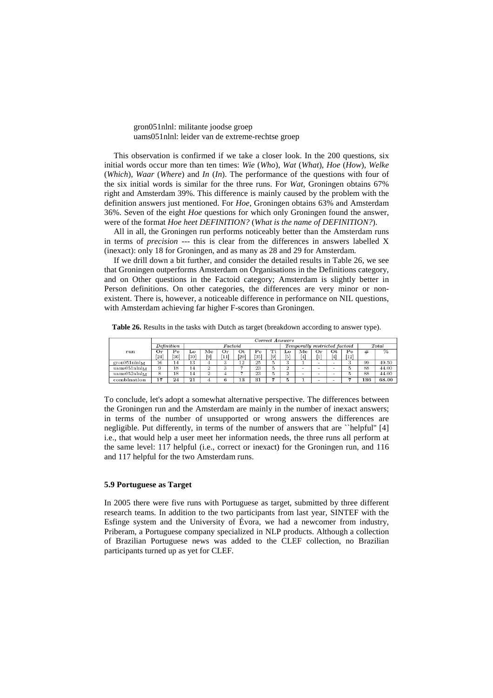gron051nlnl: militante joodse groep uams051nlnl: leider van de extreme-rechtse groep

This observation is confirmed if we take a closer look. In the 200 questions, six initial words occur more than ten times: *Wie* (*Who*), *Wat* (*What*), *Hoe* (*How*), *Welke* (*Which*), *Waar* (*Where*) and *In* (*In*). The performance of the questions with four of the six initial words is similar for the three runs. For *Wat*, Groningen obtains 67% right and Amsterdam 39%. This difference is mainly caused by the problem with the definition answers just mentioned. For *Hoe*, Groningen obtains 63% and Amsterdam 36%. Seven of the eight *Hoe* questions for which only Groningen found the answer, were of the format *Hoe heet DEFINITION?* (*What is the name of DEFINITION?*).

All in all, the Groningen run performs noticeably better than the Amsterdam runs in terms of *precision* --- this is clear from the differences in answers labelled X (inexact): only 18 for Groningen, and as many as 28 and 29 for Amsterdam.

If we drill down a bit further, and consider the detailed results in Table 26, we see that Groningen outperforms Amsterdam on Organisations in the Definitions category, and on Other questions in the Factoid category; Amsterdam is slightly better in Person definitions. On other categories, the differences are very minor or nonexistent. There is, however, a noticeable difference in performance on NIL questions, with Amsterdam achieving far higher F-scores than Groningen.

**Table 26.** Results in the tasks with Dutch as target (breakdown according to answer type).

|                          |      | Correct Answers |         |     |             |                |      |                   |                   |                               |       |    |             |     |       |
|--------------------------|------|-----------------|---------|-----|-------------|----------------|------|-------------------|-------------------|-------------------------------|-------|----|-------------|-----|-------|
|                          |      | Definition      | Factoid |     |             |                |      |                   |                   | Temporally restricted factoid | Total |    |             |     |       |
| run                      | Or.  | Рe              | LO      | Me  | Or          | Ot.            | Рe   |                   | Lo                | Me                            | Or.   | Οt | $_{\rm Pe}$ |     | $\%$  |
|                          | [24] | [36]            | [30]    | [9] | [11]        | [20]           | [35] | $\lceil 9 \rceil$ | ſ5'               |                               |       | Ī4 | 12          |     |       |
| $gron 051nlnl_M$         | 16   | 14              | 13      |     | $\sim$<br>a | 1 <sup>0</sup> | 25   |                   | $\sim$<br>$\cdot$ |                               |       |    |             | 99  | 49.50 |
| uams051nlnl <sub>M</sub> | 9    | 18              | 14      |     | $\sim$<br>a |                | 23   |                   |                   | $\overline{\phantom{a}}$      |       | -  |             | 88  | 44.00 |
| uams052nlnl <sub>M</sub> | ×    | 18              | 14      | ∸   |             |                | 23   |                   |                   | -                             | -     | -  |             | 88  | 44.00 |
| combination              | 17   | 24              | 21      |     | 6           | 13             | 31   |                   | $\cdot$           |                               |       | -  |             | 136 | 68.00 |

To conclude, let's adopt a somewhat alternative perspective. The differences between the Groningen run and the Amsterdam are mainly in the number of inexact answers; in terms of the number of unsupported or wrong answers the differences are negligible. Put differently, in terms of the number of answers that are ``helpful'' [4] i.e., that would help a user meet her information needs, the three runs all perform at the same level: 117 helpful (i.e., correct or inexact) for the Groningen run, and 116 and 117 helpful for the two Amsterdam runs.

#### **5.9 Portuguese as Target**

In 2005 there were five runs with Portuguese as target, submitted by three different research teams. In addition to the two participants from last year, SINTEF with the Esfinge system and the University of Évora, we had a newcomer from industry, Priberam, a Portuguese company specialized in NLP products. Although a collection of Brazilian Portuguese news was added to the CLEF collection, no Brazilian participants turned up as yet for CLEF.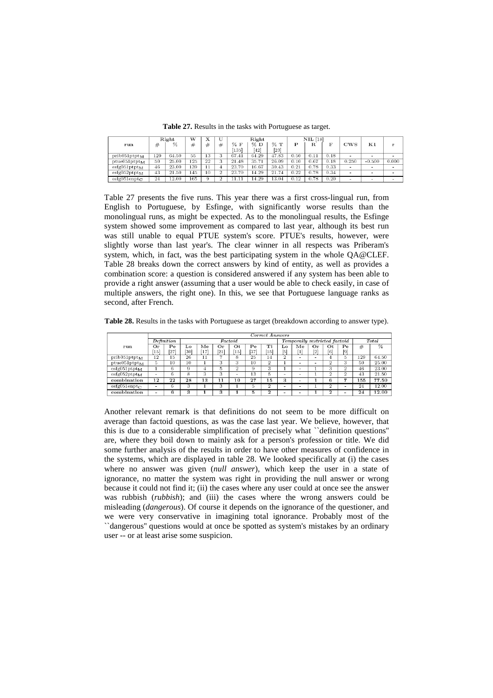**Table 27.** Results in the tasks with Portuguese as target.

|                                   |    | Right | w   | v  | U        | Right     |       |           |           | <b>NIL</b> [18] |      |                          |          |                          |
|-----------------------------------|----|-------|-----|----|----------|-----------|-------|-----------|-----------|-----------------|------|--------------------------|----------|--------------------------|
| run                               | #  | %     | #   | 丑  | $+4$     | $\%$<br>F | % D   | $\%$<br>т | D         | R.              |      | <b>CWS</b>               | K1       | <b>Y</b>                 |
|                                   |    |       |     |    |          | 135       | 42    | [23]      |           |                 |      |                          |          |                          |
| $\text{prib051ptpt}_{\mathbf{M}}$ | 29 | 64.50 | 55  | 13 |          | 67.41     | 64.29 | 47.83     | $_{0.50}$ | 0.11            | 0.18 | -                        |          | $\sim$                   |
| $ptue051ptpt_M$                   | 50 | 25.00 | 125 | 22 | a        | 21<br>.48 | 35.71 | 26.09     | 0.10      | 0.67            | 0.18 | 0.250                    | $-0.500$ | 0.000                    |
| $estg051ptpt_M$                   | 46 | 23.00 | 139 |    |          | 23.70     | 16.67 | 30.43     | 0.21      | 0.78            | 0.33 | $\overline{\phantom{a}}$ | -        | $\overline{\phantom{a}}$ |
| $estg052ptpt_M$                   | 43 | .50   | 145 | 10 | $\Omega$ | 23.70     | 14.29 | 21.74     | 0.22      | 0.78            | 0.34 | $\overline{\phantom{a}}$ | -        | $\sim$                   |
| estg051enpt                       | 24 | 2.00  | 165 |    |          |           | 14.29 | .04<br>13 | 0.12      | 0.78            | 0.20 | ٠                        | -        | -                        |

Table 27 presents the five runs. This year there was a first cross-lingual run, from English to Portuguese, by Esfinge, with significantly worse results than the monolingual runs, as might be expected. As to the monolingual results, the Esfinge system showed some improvement as compared to last year, although its best run was still unable to equal PTUE system's score. PTUE's results, however, were slightly worse than last year's. The clear winner in all respects was Priberam's system, which, in fact, was the best participating system in the whole QA@CLEF. Table 28 breaks down the correct answers by kind of entity, as well as provides a combination score: a question is considered answered if any system has been able to provide a right answer (assuming that a user would be able to check easily, in case of multiple answers, the right one). In this, we see that Portuguese language ranks as second, after French.

**Table 28.** Results in the tasks with Portuguese as target (breakdown according to answer type).

|                            |    | Correct Answers<br>Total |      |         |             |                |     |                         |     |                          |                               |                |                     |     |       |  |
|----------------------------|----|--------------------------|------|---------|-------------|----------------|-----|-------------------------|-----|--------------------------|-------------------------------|----------------|---------------------|-----|-------|--|
|                            |    | Definition               |      | Factoid |             |                |     |                         |     |                          | Temporally restricted factoid |                |                     |     |       |  |
| run                        | Оr | Pe                       | Lo   | Me      | Оr          | Ot.            | Рe  | Ti                      | Lo  | Me                       | Or                            | $_{\rm Ot}$    | Pe                  | #   | %     |  |
|                            | 15 | [27]                     | [30] | '171    | [21]        | 15             | 137 | ำ51                     | [5] |                          | [2]                           | [6]            | $\lbrack 9 \rbrack$ |     |       |  |
| $prib051ptpt_M$            | 12 | 15                       | 26   |         |             | 8              | 25  | 14                      |     | ۰                        |                               |                |                     | 129 | 64.50 |  |
| $ptue051ptpt_M$            | 5  | 10                       | 10   |         | $\sim$<br>3 | 3              | 10  |                         |     | $\overline{\phantom{a}}$ | ۰                             | $\Omega$       | A                   | 50  | 25.00 |  |
| $estg051ptpt_M$            |    | 6                        | 9    | 4       | 5           | $\overline{2}$ | 9   | 3                       |     | -                        |                               | 3              | $\Omega$            | 46  | 23.00 |  |
| $estg052ptpt_M$            | -  | $\sqrt{2}$<br>15         | 8    | 3       | 3           | -              | 13  | 5                       |     | $\overline{\phantom{0}}$ |                               | $\Omega$       | $\Omega$            | 43  | 21.50 |  |
| combination                | 12 | 22                       | 28   | 13      | 11          | 10             | 27  | 15                      | 3   | $\overline{\phantom{a}}$ |                               | 6              | −                   | 155 | 77.50 |  |
| $estg051enpt$ <sub>C</sub> | ۰  |                          | з    |         | а           |                | 5   |                         |     | ۰                        |                               |                | ٠                   | 24  | 12.00 |  |
| combination                | -  | в                        | з    |         | 3           |                | 5   | $\overline{\mathbf{2}}$ |     | $\sim$                   |                               | $\overline{2}$ |                     | 24  | 12.00 |  |

Another relevant remark is that definitions do not seem to be more difficult on average than factoid questions, as was the case last year. We believe, however, that this is due to a considerable simplification of precisely what ``definition questions'' are, where they boil down to mainly ask for a person's profession or title. We did some further analysis of the results in order to have other measures of confidence in the systems, which are displayed in table 28. We looked specifically at (i) the cases where no answer was given (*null answer*), which keep the user in a state of ignorance, no matter the system was right in providing the null answer or wrong because it could not find it; (ii) the cases where any user could at once see the answer was rubbish (*rubbish*); and (iii) the cases where the wrong answers could be misleading (*dangerous*). Of course it depends on the ignorance of the questioner, and we were very conservative in imagining total ignorance. Probably most of the ``dangerous'' questions would at once be spotted as system's mistakes by an ordinary user -- or at least arise some suspicion.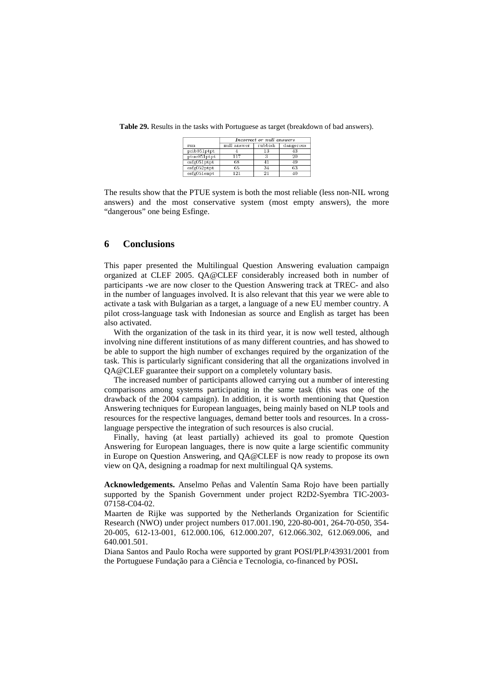**Table 29.** Results in the tasks with Portuguese as target (breakdown of bad answers).

|             | Incorrect or null answers |         |           |  |  |  |  |  |  |  |  |  |
|-------------|---------------------------|---------|-----------|--|--|--|--|--|--|--|--|--|
| run         | null answer               | rubbish | dangerous |  |  |  |  |  |  |  |  |  |
| prib051ptpt |                           | 13      | 43        |  |  |  |  |  |  |  |  |  |
| ptue051ptpt | 117                       | 3       | 20        |  |  |  |  |  |  |  |  |  |
| esfg051ptpt | 68                        |         | 49        |  |  |  |  |  |  |  |  |  |
| esfg052ptpt | 65                        | 34      | 63        |  |  |  |  |  |  |  |  |  |
| esfg051enpt | 121                       | 21      | 40        |  |  |  |  |  |  |  |  |  |

The results show that the PTUE system is both the most reliable (less non-NIL wrong answers) and the most conservative system (most empty answers), the more "dangerous" one being Esfinge.

#### **6 Conclusions**

This paper presented the Multilingual Question Answering evaluation campaign organized at CLEF 2005. QA@CLEF considerably increased both in number of participants -we are now closer to the Question Answering track at TREC- and also in the number of languages involved. It is also relevant that this year we were able to activate a task with Bulgarian as a target, a language of a new EU member country. A pilot cross-language task with Indonesian as source and English as target has been also activated.

With the organization of the task in its third year, it is now well tested, although involving nine different institutions of as many different countries, and has showed to be able to support the high number of exchanges required by the organization of the task. This is particularly significant considering that all the organizations involved in QA@CLEF guarantee their support on a completely voluntary basis.

The increased number of participants allowed carrying out a number of interesting comparisons among systems participating in the same task (this was one of the drawback of the 2004 campaign). In addition, it is worth mentioning that Question Answering techniques for European languages, being mainly based on NLP tools and resources for the respective languages, demand better tools and resources. In a crosslanguage perspective the integration of such resources is also crucial.

Finally, having (at least partially) achieved its goal to promote Question Answering for European languages, there is now quite a large scientific community in Europe on Question Answering, and QA@CLEF is now ready to propose its own view on QA, designing a roadmap for next multilingual QA systems.

**Acknowledgements.** Anselmo Peñas and Valentín Sama Rojo have been partially supported by the Spanish Government under project R2D2-Syembra TIC-2003- 07158-C04-02.

Maarten de Rijke was supported by the Netherlands Organization for Scientific Research (NWO) under project numbers 017.001.190, 220-80-001, 264-70-050, 354- 20-005, 612-13-001, 612.000.106, 612.000.207, 612.066.302, 612.069.006, and 640.001.501.

Diana Santos and Paulo Rocha were supported by grant POSI/PLP/43931/2001 from the Portuguese Fundação para a Ciência e Tecnologia, co-financed by POSI**.**